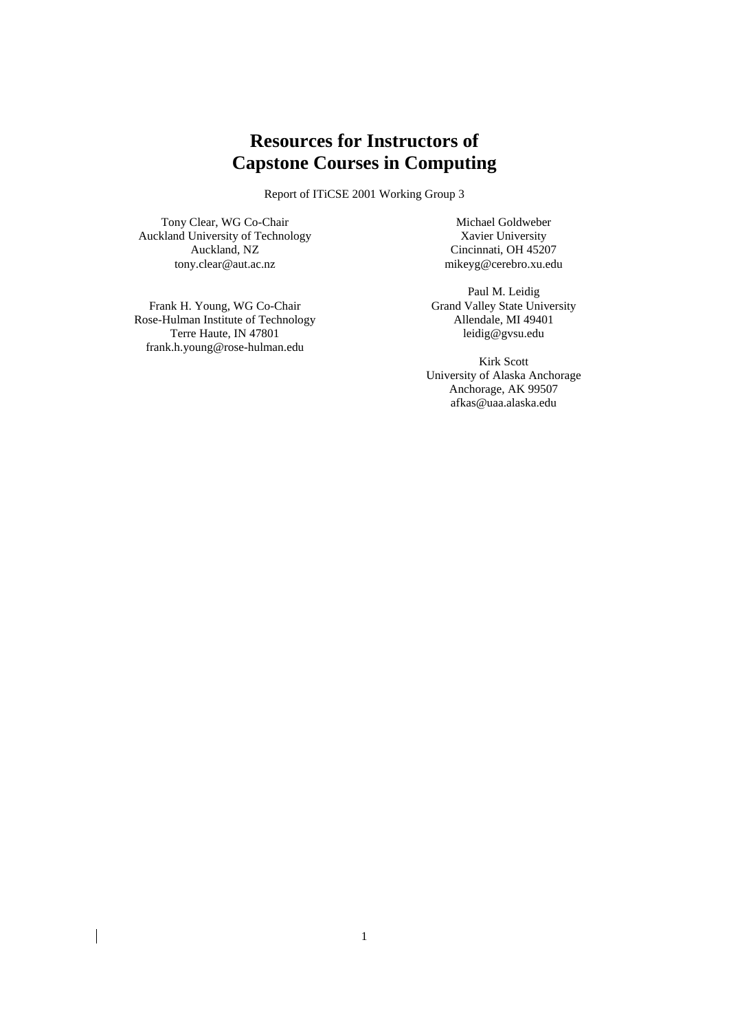# **Resources for Instructors of Capstone Courses in Computing**

Report of ITiCSE 2001 Working Group 3

Tony Clear, WG Co-Chair Auckland University of Technology Auckland, NZ tony.clear@aut.ac.nz

Frank H. Young, WG Co-Chair Rose-Hulman Institute of Technology Terre Haute, IN 47801 frank.h.young@rose-hulman.edu

 $\overline{\phantom{a}}$ 

Michael Goldweber Xavier University Cincinnati, OH 45207 mikeyg@cerebro.xu.edu

Paul M. Leidig Grand Valley State University Allendale, MI 49401 leidig@gvsu.edu

Kirk Scott University of Alaska Anchorage Anchorage, AK 99507 afkas@uaa.alaska.edu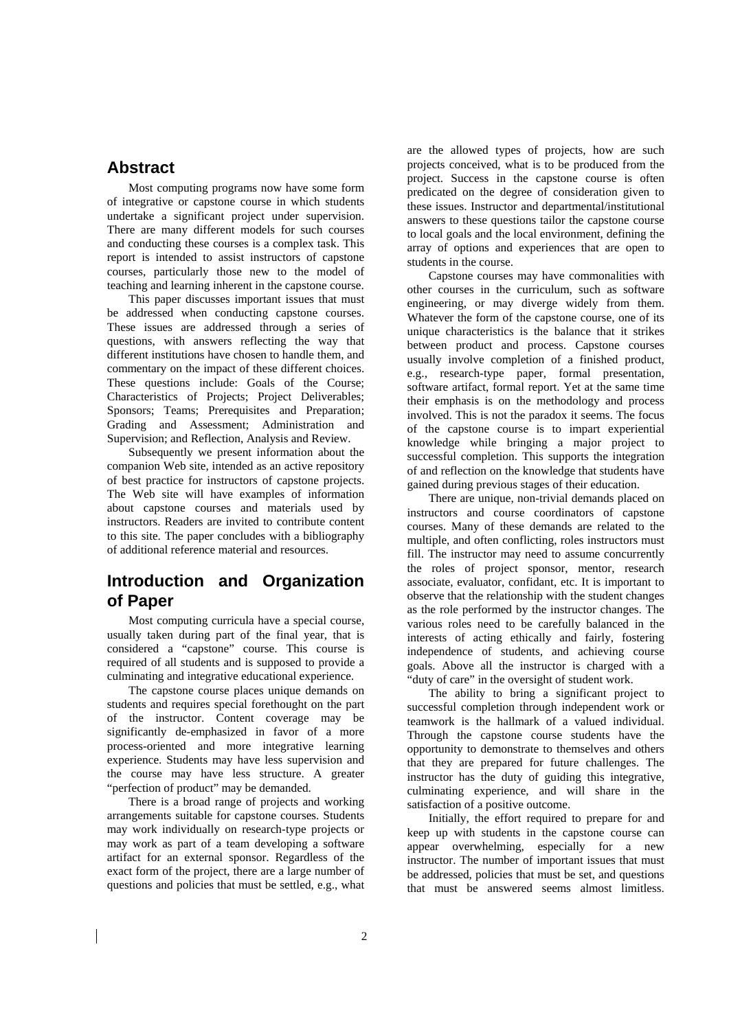### **Abstract**

 Most computing programs now have some form of integrative or capstone course in which students undertake a significant project under supervision. There are many different models for such courses and conducting these courses is a complex task. This report is intended to assist instructors of capstone courses, particularly those new to the model of teaching and learning inherent in the capstone course.

 This paper discusses important issues that must be addressed when conducting capstone courses. These issues are addressed through a series of questions, with answers reflecting the way that different institutions have chosen to handle them, and commentary on the impact of these different choices. These questions include: Goals of the Course; Characteristics of Projects; Project Deliverables; Sponsors; Teams; Prerequisites and Preparation; Grading and Assessment; Administration and Supervision; and Reflection, Analysis and Review.

 Subsequently we present information about the companion Web site, intended as an active repository of best practice for instructors of capstone projects. The Web site will have examples of information about capstone courses and materials used by instructors. Readers are invited to contribute content to this site. The paper concludes with a bibliography of additional reference material and resources.

## **Introduction and Organization of Paper**

 Most computing curricula have a special course, usually taken during part of the final year, that is considered a "capstone" course. This course is required of all students and is supposed to provide a culminating and integrative educational experience.

 The capstone course places unique demands on students and requires special forethought on the part of the instructor. Content coverage may be significantly de-emphasized in favor of a more process-oriented and more integrative learning experience. Students may have less supervision and the course may have less structure. A greater "perfection of product" may be demanded.

 There is a broad range of projects and working arrangements suitable for capstone courses. Students may work individually on research-type projects or may work as part of a team developing a software artifact for an external sponsor. Regardless of the exact form of the project, there are a large number of questions and policies that must be settled, e.g., what

are the allowed types of projects, how are such projects conceived, what is to be produced from the project. Success in the capstone course is often predicated on the degree of consideration given to these issues. Instructor and departmental/institutional answers to these questions tailor the capstone course to local goals and the local environment, defining the array of options and experiences that are open to students in the course.

 Capstone courses may have commonalities with other courses in the curriculum, such as software engineering, or may diverge widely from them. Whatever the form of the capstone course, one of its unique characteristics is the balance that it strikes between product and process. Capstone courses usually involve completion of a finished product, e.g., research-type paper, formal presentation, software artifact, formal report. Yet at the same time their emphasis is on the methodology and process involved. This is not the paradox it seems. The focus of the capstone course is to impart experiential knowledge while bringing a major project to successful completion. This supports the integration of and reflection on the knowledge that students have gained during previous stages of their education.

 There are unique, non-trivial demands placed on instructors and course coordinators of capstone courses. Many of these demands are related to the multiple, and often conflicting, roles instructors must fill. The instructor may need to assume concurrently the roles of project sponsor, mentor, research associate, evaluator, confidant, etc. It is important to observe that the relationship with the student changes as the role performed by the instructor changes. The various roles need to be carefully balanced in the interests of acting ethically and fairly, fostering independence of students, and achieving course goals. Above all the instructor is charged with a "duty of care" in the oversight of student work.

 The ability to bring a significant project to successful completion through independent work or teamwork is the hallmark of a valued individual. Through the capstone course students have the opportunity to demonstrate to themselves and others that they are prepared for future challenges. The instructor has the duty of guiding this integrative, culminating experience, and will share in the satisfaction of a positive outcome.

 Initially, the effort required to prepare for and keep up with students in the capstone course can appear overwhelming, especially for a new instructor. The number of important issues that must be addressed, policies that must be set, and questions that must be answered seems almost limitless.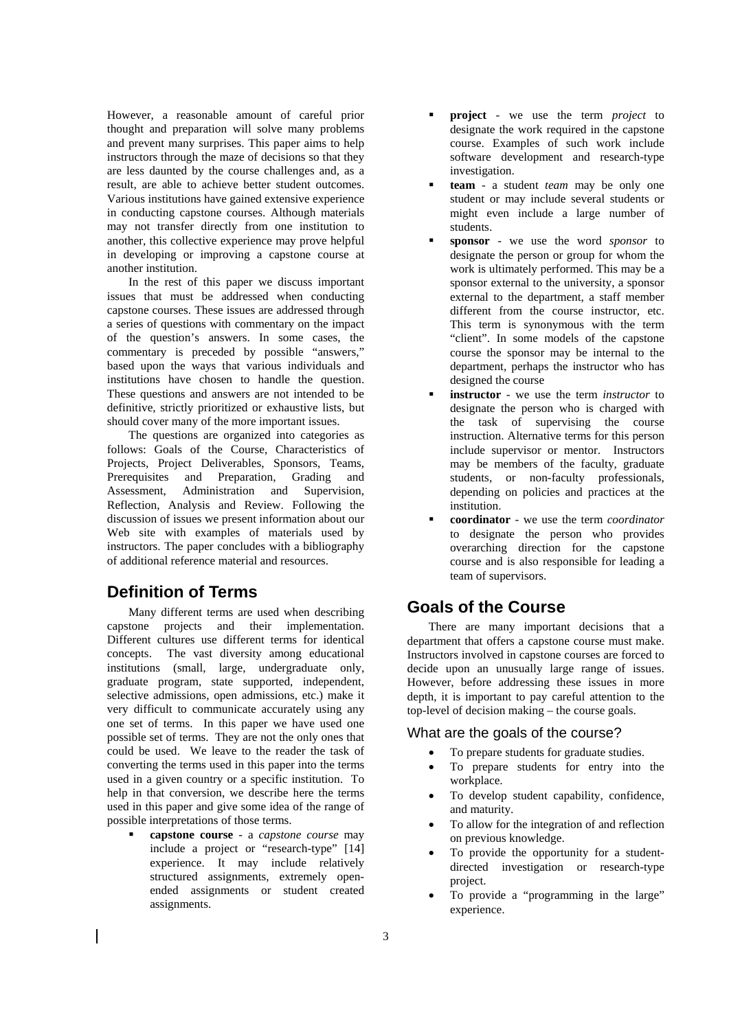However, a reasonable amount of careful prior thought and preparation will solve many problems and prevent many surprises. This paper aims to help instructors through the maze of decisions so that they are less daunted by the course challenges and, as a result, are able to achieve better student outcomes. Various institutions have gained extensive experience in conducting capstone courses. Although materials may not transfer directly from one institution to another, this collective experience may prove helpful in developing or improving a capstone course at another institution.

 In the rest of this paper we discuss important issues that must be addressed when conducting capstone courses. These issues are addressed through a series of questions with commentary on the impact of the question's answers. In some cases, the commentary is preceded by possible "answers," based upon the ways that various individuals and institutions have chosen to handle the question. These questions and answers are not intended to be definitive, strictly prioritized or exhaustive lists, but should cover many of the more important issues.

 The questions are organized into categories as follows: Goals of the Course, Characteristics of Projects, Project Deliverables, Sponsors, Teams, Prerequisites and Preparation, Grading and Assessment, Administration and Supervision, Reflection, Analysis and Review. Following the discussion of issues we present information about our Web site with examples of materials used by instructors. The paper concludes with a bibliography of additional reference material and resources.

## **Definition of Terms**

 Many different terms are used when describing capstone projects and their implementation. Different cultures use different terms for identical concepts. The vast diversity among educational institutions (small, large, undergraduate only, graduate program, state supported, independent, selective admissions, open admissions, etc.) make it very difficult to communicate accurately using any one set of terms. In this paper we have used one possible set of terms. They are not the only ones that could be used. We leave to the reader the task of converting the terms used in this paper into the terms used in a given country or a specific institution. To help in that conversion, we describe here the terms used in this paper and give some idea of the range of possible interpretations of those terms.

 **capstone course** - a *capstone course* may include a project or "research-type" [14] experience. It may include relatively structured assignments, extremely openended assignments or student created assignments.

- **project** we use the term *project* to designate the work required in the capstone course. Examples of such work include software development and research-type investigation.
- **team** a student *team* may be only one student or may include several students or might even include a large number of students.
- **sponsor** we use the word *sponsor* to designate the person or group for whom the work is ultimately performed. This may be a sponsor external to the university, a sponsor external to the department, a staff member different from the course instructor, etc. This term is synonymous with the term "client". In some models of the capstone course the sponsor may be internal to the department, perhaps the instructor who has designed the course
- **instructor** we use the term *instructor* to designate the person who is charged with the task of supervising the course instruction. Alternative terms for this person include supervisor or mentor. Instructors may be members of the faculty, graduate students, or non-faculty professionals, depending on policies and practices at the institution.
- **coordinator** we use the term *coordinator* to designate the person who provides overarching direction for the capstone course and is also responsible for leading a team of supervisors.

## **Goals of the Course**

 There are many important decisions that a department that offers a capstone course must make. Instructors involved in capstone courses are forced to decide upon an unusually large range of issues. However, before addressing these issues in more depth, it is important to pay careful attention to the top-level of decision making – the course goals.

#### What are the goals of the course?

- To prepare students for graduate studies.
- To prepare students for entry into the workplace.
- To develop student capability, confidence, and maturity.
- To allow for the integration of and reflection on previous knowledge.
- To provide the opportunity for a studentdirected investigation or research-type project.
- To provide a "programming in the large" experience.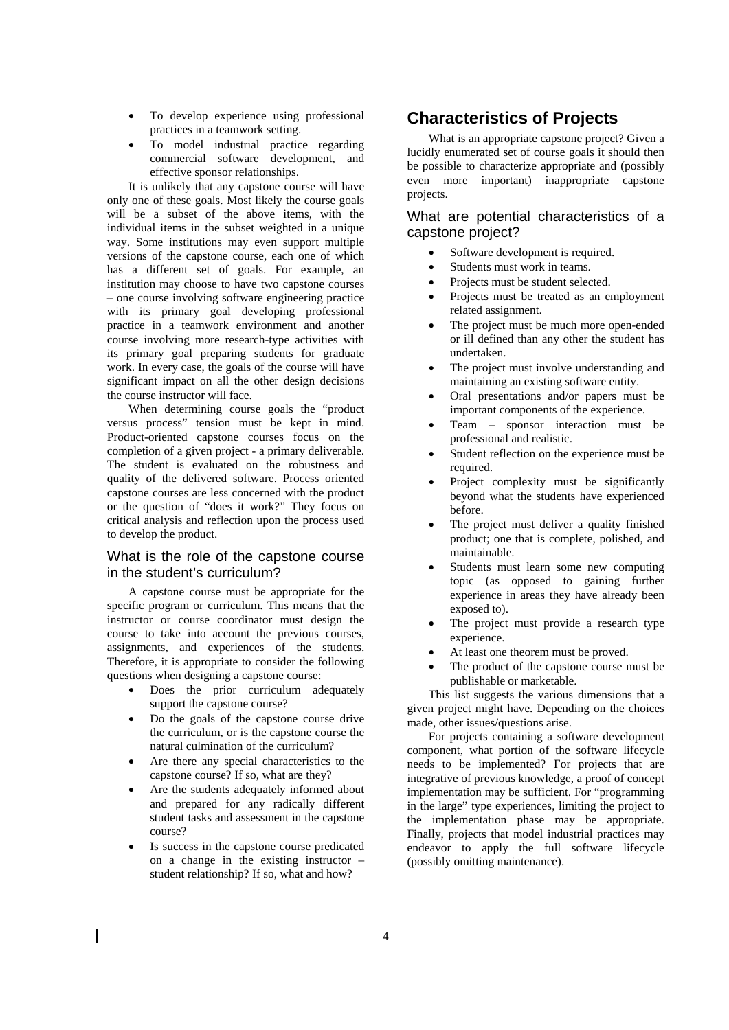- To develop experience using professional practices in a teamwork setting.
- To model industrial practice regarding commercial software development, and effective sponsor relationships.

 It is unlikely that any capstone course will have only one of these goals. Most likely the course goals will be a subset of the above items, with the individual items in the subset weighted in a unique way. Some institutions may even support multiple versions of the capstone course, each one of which has a different set of goals. For example, an institution may choose to have two capstone courses – one course involving software engineering practice with its primary goal developing professional practice in a teamwork environment and another course involving more research-type activities with its primary goal preparing students for graduate work. In every case, the goals of the course will have significant impact on all the other design decisions the course instructor will face.

 When determining course goals the "product versus process" tension must be kept in mind. Product-oriented capstone courses focus on the completion of a given project - a primary deliverable. The student is evaluated on the robustness and quality of the delivered software. Process oriented capstone courses are less concerned with the product or the question of "does it work?" They focus on critical analysis and reflection upon the process used to develop the product.

### What is the role of the capstone course in the student's curriculum?

 A capstone course must be appropriate for the specific program or curriculum. This means that the instructor or course coordinator must design the course to take into account the previous courses, assignments, and experiences of the students. Therefore, it is appropriate to consider the following questions when designing a capstone course:

- Does the prior curriculum adequately support the capstone course?
- Do the goals of the capstone course drive the curriculum, or is the capstone course the natural culmination of the curriculum?
- Are there any special characteristics to the capstone course? If so, what are they?
- Are the students adequately informed about and prepared for any radically different student tasks and assessment in the capstone course?
- Is success in the capstone course predicated on a change in the existing instructor – student relationship? If so, what and how?

## **Characteristics of Projects**

 What is an appropriate capstone project? Given a lucidly enumerated set of course goals it should then be possible to characterize appropriate and (possibly even more important) inappropriate capstone projects.

#### What are potential characteristics of a capstone project?

- Software development is required.
- Students must work in teams.
- Projects must be student selected.
- Projects must be treated as an employment related assignment.
- The project must be much more open-ended or ill defined than any other the student has undertaken.
- The project must involve understanding and maintaining an existing software entity.
- Oral presentations and/or papers must be important components of the experience.
- Team sponsor interaction must be professional and realistic.
- Student reflection on the experience must be required.
- Project complexity must be significantly beyond what the students have experienced before.
- The project must deliver a quality finished product; one that is complete, polished, and maintainable.
- Students must learn some new computing topic (as opposed to gaining further experience in areas they have already been exposed to).
- The project must provide a research type experience.
- At least one theorem must be proved.
- The product of the capstone course must be publishable or marketable.

 This list suggests the various dimensions that a given project might have. Depending on the choices made, other issues/questions arise.

 For projects containing a software development component, what portion of the software lifecycle needs to be implemented? For projects that are integrative of previous knowledge, a proof of concept implementation may be sufficient. For "programming in the large" type experiences, limiting the project to the implementation phase may be appropriate. Finally, projects that model industrial practices may endeavor to apply the full software lifecycle (possibly omitting maintenance).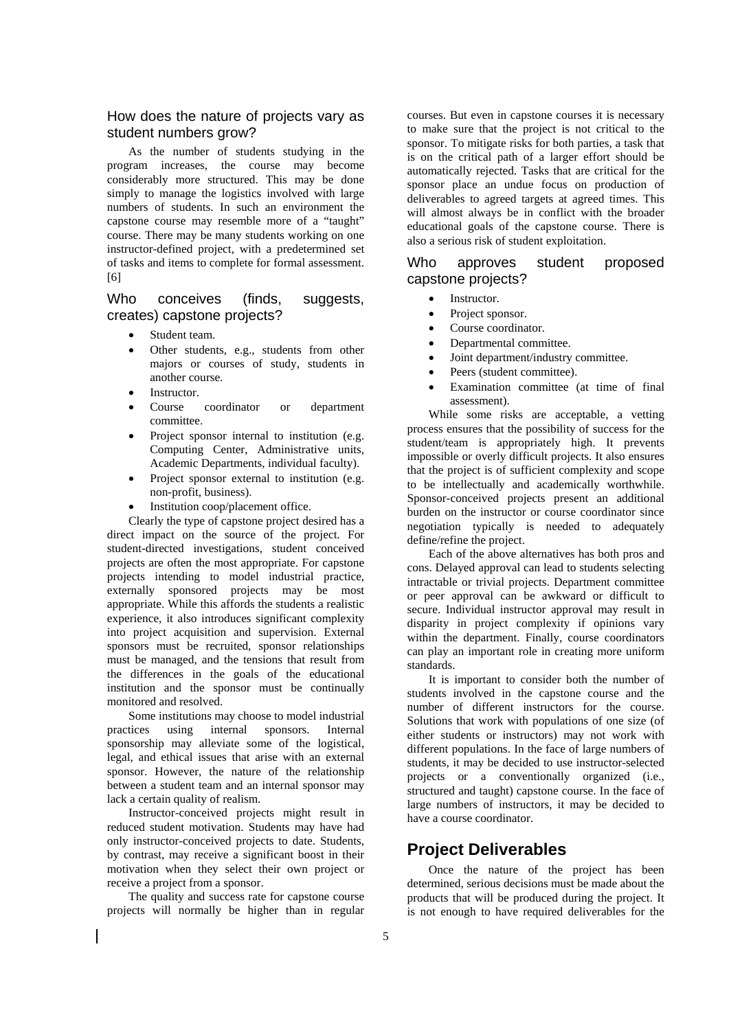### How does the nature of projects vary as student numbers grow?

 As the number of students studying in the program increases, the course may become considerably more structured. This may be done simply to manage the logistics involved with large numbers of students. In such an environment the capstone course may resemble more of a "taught" course. There may be many students working on one instructor-defined project, with a predetermined set of tasks and items to complete for formal assessment. [6]

#### Who conceives (finds, suggests, creates) capstone projects?

- Student team.
- Other students, e.g., students from other majors or courses of study, students in another course.
- Instructor.
- Course coordinator or department committee.
- Project sponsor internal to institution (e.g. Computing Center, Administrative units, Academic Departments, individual faculty).
- Project sponsor external to institution (e.g. non-profit, business).
- Institution coop/placement office.

 Clearly the type of capstone project desired has a direct impact on the source of the project. For student-directed investigations, student conceived projects are often the most appropriate. For capstone projects intending to model industrial practice, externally sponsored projects may be most appropriate. While this affords the students a realistic experience, it also introduces significant complexity into project acquisition and supervision. External sponsors must be recruited, sponsor relationships must be managed, and the tensions that result from the differences in the goals of the educational institution and the sponsor must be continually monitored and resolved.

 Some institutions may choose to model industrial practices using internal sponsors. Internal sponsorship may alleviate some of the logistical, legal, and ethical issues that arise with an external sponsor. However, the nature of the relationship between a student team and an internal sponsor may lack a certain quality of realism.

 Instructor-conceived projects might result in reduced student motivation. Students may have had only instructor-conceived projects to date. Students, by contrast, may receive a significant boost in their motivation when they select their own project or receive a project from a sponsor.

 The quality and success rate for capstone course projects will normally be higher than in regular courses. But even in capstone courses it is necessary to make sure that the project is not critical to the sponsor. To mitigate risks for both parties, a task that is on the critical path of a larger effort should be automatically rejected. Tasks that are critical for the sponsor place an undue focus on production of deliverables to agreed targets at agreed times. This will almost always be in conflict with the broader educational goals of the capstone course. There is also a serious risk of student exploitation.

#### Who approves student proposed capstone projects?

- Instructor.
- Project sponsor.
- Course coordinator.
- Departmental committee.
- Joint department/industry committee.
- Peers (student committee).
- Examination committee (at time of final assessment).

 While some risks are acceptable, a vetting process ensures that the possibility of success for the student/team is appropriately high. It prevents impossible or overly difficult projects. It also ensures that the project is of sufficient complexity and scope to be intellectually and academically worthwhile. Sponsor-conceived projects present an additional burden on the instructor or course coordinator since negotiation typically is needed to adequately define/refine the project.

 Each of the above alternatives has both pros and cons. Delayed approval can lead to students selecting intractable or trivial projects. Department committee or peer approval can be awkward or difficult to secure. Individual instructor approval may result in disparity in project complexity if opinions vary within the department. Finally, course coordinators can play an important role in creating more uniform standards.

 It is important to consider both the number of students involved in the capstone course and the number of different instructors for the course. Solutions that work with populations of one size (of either students or instructors) may not work with different populations. In the face of large numbers of students, it may be decided to use instructor-selected projects or a conventionally organized (i.e., structured and taught) capstone course. In the face of large numbers of instructors, it may be decided to have a course coordinator.

## **Project Deliverables**

 Once the nature of the project has been determined, serious decisions must be made about the products that will be produced during the project. It is not enough to have required deliverables for the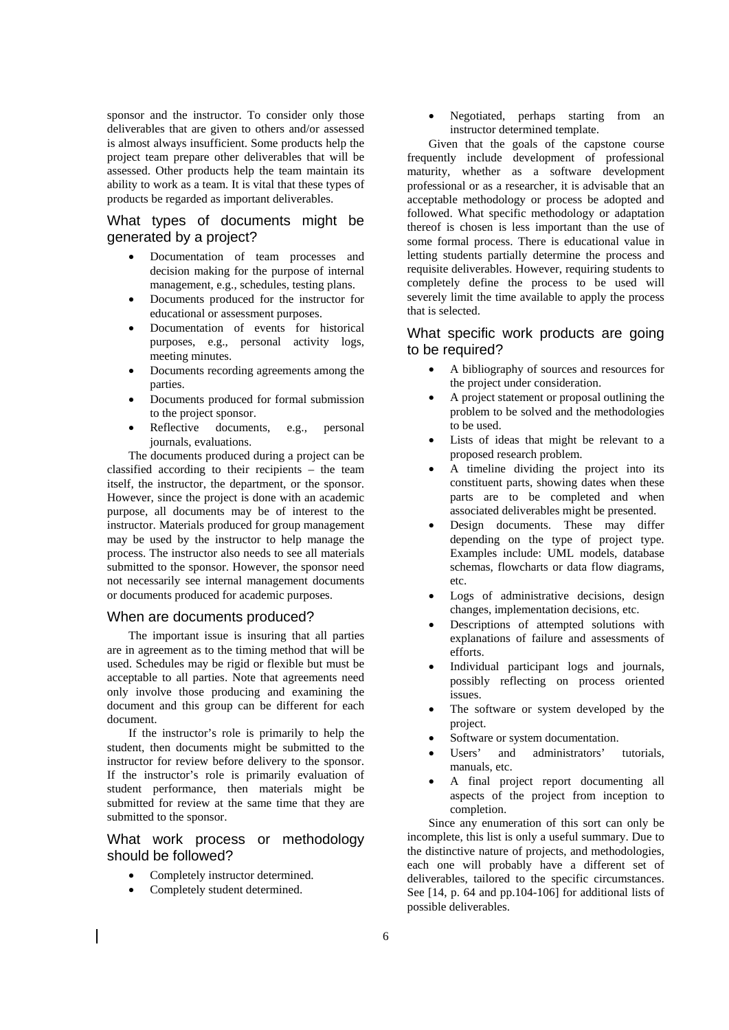sponsor and the instructor. To consider only those deliverables that are given to others and/or assessed is almost always insufficient. Some products help the project team prepare other deliverables that will be assessed. Other products help the team maintain its ability to work as a team. It is vital that these types of products be regarded as important deliverables.

### What types of documents might be generated by a project?

- Documentation of team processes and decision making for the purpose of internal management, e.g., schedules, testing plans.
- Documents produced for the instructor for educational or assessment purposes.
- Documentation of events for historical purposes, e.g., personal activity logs, meeting minutes.
- Documents recording agreements among the parties.
- Documents produced for formal submission to the project sponsor.
- Reflective documents, e.g., personal journals, evaluations.

The documents produced during a project can be classified according to their recipients – the team itself, the instructor, the department, or the sponsor. However, since the project is done with an academic purpose, all documents may be of interest to the instructor. Materials produced for group management may be used by the instructor to help manage the process. The instructor also needs to see all materials submitted to the sponsor. However, the sponsor need not necessarily see internal management documents or documents produced for academic purposes.

#### When are documents produced?

 The important issue is insuring that all parties are in agreement as to the timing method that will be used. Schedules may be rigid or flexible but must be acceptable to all parties. Note that agreements need only involve those producing and examining the document and this group can be different for each document.

 If the instructor's role is primarily to help the student, then documents might be submitted to the instructor for review before delivery to the sponsor. If the instructor's role is primarily evaluation of student performance, then materials might be submitted for review at the same time that they are submitted to the sponsor.

What work process or methodology should be followed?

- Completely instructor determined.
- Completely student determined.

Negotiated, perhaps starting from an instructor determined template.

 Given that the goals of the capstone course frequently include development of professional maturity, whether as a software development professional or as a researcher, it is advisable that an acceptable methodology or process be adopted and followed. What specific methodology or adaptation thereof is chosen is less important than the use of some formal process. There is educational value in letting students partially determine the process and requisite deliverables. However, requiring students to completely define the process to be used will severely limit the time available to apply the process that is selected.

### What specific work products are going to be required?

- A bibliography of sources and resources for the project under consideration.
- A project statement or proposal outlining the problem to be solved and the methodologies to be used.
- Lists of ideas that might be relevant to a proposed research problem.
- A timeline dividing the project into its constituent parts, showing dates when these parts are to be completed and when associated deliverables might be presented.
- Design documents. These may differ depending on the type of project type. Examples include: UML models, database schemas, flowcharts or data flow diagrams, etc.
- Logs of administrative decisions, design changes, implementation decisions, etc.
- Descriptions of attempted solutions with explanations of failure and assessments of efforts.
- Individual participant logs and journals, possibly reflecting on process oriented issues.
- The software or system developed by the project.
- Software or system documentation.
- Users' and administrators' tutorials, manuals, etc.
- A final project report documenting all aspects of the project from inception to completion.

 Since any enumeration of this sort can only be incomplete, this list is only a useful summary. Due to the distinctive nature of projects, and methodologies, each one will probably have a different set of deliverables, tailored to the specific circumstances. See [14, p. 64 and pp.104-106] for additional lists of possible deliverables.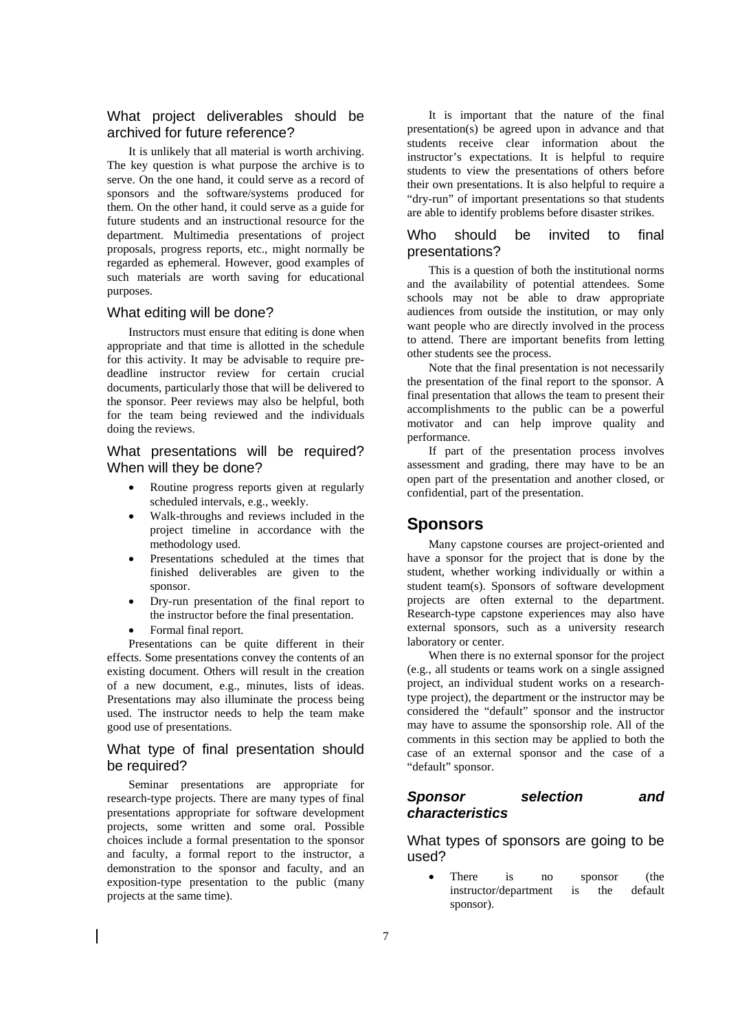### What project deliverables should be archived for future reference?

 It is unlikely that all material is worth archiving. The key question is what purpose the archive is to serve. On the one hand, it could serve as a record of sponsors and the software/systems produced for them. On the other hand, it could serve as a guide for future students and an instructional resource for the department. Multimedia presentations of project proposals, progress reports, etc., might normally be regarded as ephemeral. However, good examples of such materials are worth saving for educational purposes.

#### What editing will be done?

 Instructors must ensure that editing is done when appropriate and that time is allotted in the schedule for this activity. It may be advisable to require predeadline instructor review for certain crucial documents, particularly those that will be delivered to the sponsor. Peer reviews may also be helpful, both for the team being reviewed and the individuals doing the reviews.

What presentations will be required? When will they be done?

- Routine progress reports given at regularly scheduled intervals, e.g., weekly.
- Walk-throughs and reviews included in the project timeline in accordance with the methodology used.
- Presentations scheduled at the times that finished deliverables are given to the sponsor.
- Dry-run presentation of the final report to the instructor before the final presentation.
- Formal final report.

 Presentations can be quite different in their effects. Some presentations convey the contents of an existing document. Others will result in the creation of a new document, e.g., minutes, lists of ideas. Presentations may also illuminate the process being used. The instructor needs to help the team make good use of presentations.

#### What type of final presentation should be required?

 Seminar presentations are appropriate for research-type projects. There are many types of final presentations appropriate for software development projects, some written and some oral. Possible choices include a formal presentation to the sponsor and faculty, a formal report to the instructor, a demonstration to the sponsor and faculty, and an exposition-type presentation to the public (many projects at the same time).

 It is important that the nature of the final presentation(s) be agreed upon in advance and that students receive clear information about the instructor's expectations. It is helpful to require students to view the presentations of others before their own presentations. It is also helpful to require a "dry-run" of important presentations so that students are able to identify problems before disaster strikes.

#### Who should be invited to final presentations?

 This is a question of both the institutional norms and the availability of potential attendees. Some schools may not be able to draw appropriate audiences from outside the institution, or may only want people who are directly involved in the process to attend. There are important benefits from letting other students see the process.

 Note that the final presentation is not necessarily the presentation of the final report to the sponsor. A final presentation that allows the team to present their accomplishments to the public can be a powerful motivator and can help improve quality and performance.

 If part of the presentation process involves assessment and grading, there may have to be an open part of the presentation and another closed, or confidential, part of the presentation.

## **Sponsors**

 Many capstone courses are project-oriented and have a sponsor for the project that is done by the student, whether working individually or within a student team(s). Sponsors of software development projects are often external to the department. Research-type capstone experiences may also have external sponsors, such as a university research laboratory or center.

 When there is no external sponsor for the project (e.g., all students or teams work on a single assigned project, an individual student works on a researchtype project), the department or the instructor may be considered the "default" sponsor and the instructor may have to assume the sponsorship role. All of the comments in this section may be applied to both the case of an external sponsor and the case of a "default" sponsor.

#### *Sponsor selection and characteristics*

What types of sponsors are going to be used?

There is no sponsor (the instructor/department is the default sponsor).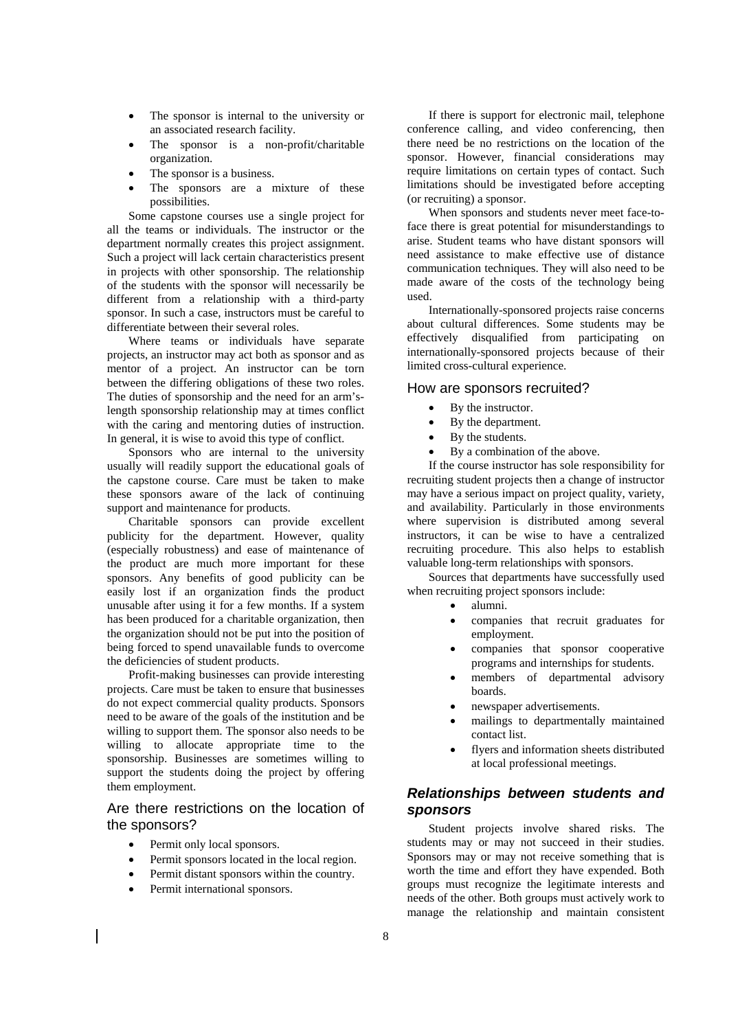- The sponsor is internal to the university or an associated research facility.
- The sponsor is a non-profit/charitable organization.
- The sponsor is a business.
- The sponsors are a mixture of these possibilities.

 Some capstone courses use a single project for all the teams or individuals. The instructor or the department normally creates this project assignment. Such a project will lack certain characteristics present in projects with other sponsorship. The relationship of the students with the sponsor will necessarily be different from a relationship with a third-party sponsor. In such a case, instructors must be careful to differentiate between their several roles.

 Where teams or individuals have separate projects, an instructor may act both as sponsor and as mentor of a project. An instructor can be torn between the differing obligations of these two roles. The duties of sponsorship and the need for an arm'slength sponsorship relationship may at times conflict with the caring and mentoring duties of instruction. In general, it is wise to avoid this type of conflict.

 Sponsors who are internal to the university usually will readily support the educational goals of the capstone course. Care must be taken to make these sponsors aware of the lack of continuing support and maintenance for products.

 Charitable sponsors can provide excellent publicity for the department. However, quality (especially robustness) and ease of maintenance of the product are much more important for these sponsors. Any benefits of good publicity can be easily lost if an organization finds the product unusable after using it for a few months. If a system has been produced for a charitable organization, then the organization should not be put into the position of being forced to spend unavailable funds to overcome the deficiencies of student products.

 Profit-making businesses can provide interesting projects. Care must be taken to ensure that businesses do not expect commercial quality products. Sponsors need to be aware of the goals of the institution and be willing to support them. The sponsor also needs to be willing to allocate appropriate time to the sponsorship. Businesses are sometimes willing to support the students doing the project by offering them employment.

#### Are there restrictions on the location of the sponsors?

- Permit only local sponsors.
- Permit sponsors located in the local region.
- Permit distant sponsors within the country.
- Permit international sponsors.

 If there is support for electronic mail, telephone conference calling, and video conferencing, then there need be no restrictions on the location of the sponsor. However, financial considerations may require limitations on certain types of contact. Such limitations should be investigated before accepting (or recruiting) a sponsor.

 When sponsors and students never meet face-toface there is great potential for misunderstandings to arise. Student teams who have distant sponsors will need assistance to make effective use of distance communication techniques. They will also need to be made aware of the costs of the technology being used.

 Internationally-sponsored projects raise concerns about cultural differences. Some students may be effectively disqualified from participating on internationally-sponsored projects because of their limited cross-cultural experience.

#### How are sponsors recruited?

- By the instructor.
- By the department.
- By the students.
- By a combination of the above.

If the course instructor has sole responsibility for recruiting student projects then a change of instructor may have a serious impact on project quality, variety, and availability. Particularly in those environments where supervision is distributed among several instructors, it can be wise to have a centralized recruiting procedure. This also helps to establish valuable long-term relationships with sponsors.

 Sources that departments have successfully used when recruiting project sponsors include:

- alumni.
- companies that recruit graduates for employment.
- companies that sponsor cooperative programs and internships for students.
- members of departmental advisory boards.
- newspaper advertisements.
- mailings to departmentally maintained contact list.
- flyers and information sheets distributed at local professional meetings.

#### *Relationships between students and sponsors*

 Student projects involve shared risks. The students may or may not succeed in their studies. Sponsors may or may not receive something that is worth the time and effort they have expended. Both groups must recognize the legitimate interests and needs of the other. Both groups must actively work to manage the relationship and maintain consistent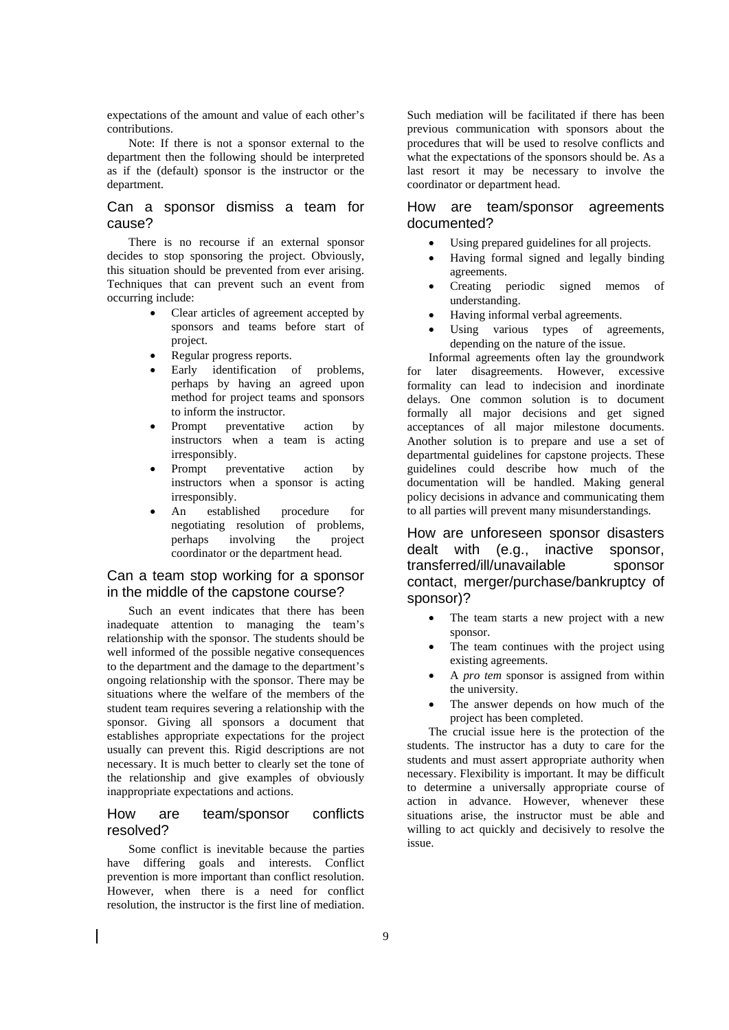expectations of the amount and value of each other's contributions.

 Note: If there is not a sponsor external to the department then the following should be interpreted as if the (default) sponsor is the instructor or the department.

#### Can a sponsor dismiss a team for cause?

 There is no recourse if an external sponsor decides to stop sponsoring the project. Obviously, this situation should be prevented from ever arising. Techniques that can prevent such an event from occurring include:

- Clear articles of agreement accepted by sponsors and teams before start of project.
- Regular progress reports.
- Early identification of problems, perhaps by having an agreed upon method for project teams and sponsors to inform the instructor.
- Prompt preventative action by instructors when a team is acting irresponsibly.
- Prompt preventative action by instructors when a sponsor is acting irresponsibly.
- An established procedure for negotiating resolution of problems, perhaps involving the project coordinator or the department head.

### Can a team stop working for a sponsor in the middle of the capstone course?

 Such an event indicates that there has been inadequate attention to managing the team's relationship with the sponsor. The students should be well informed of the possible negative consequences to the department and the damage to the department's ongoing relationship with the sponsor. There may be situations where the welfare of the members of the student team requires severing a relationship with the sponsor. Giving all sponsors a document that establishes appropriate expectations for the project usually can prevent this. Rigid descriptions are not necessary. It is much better to clearly set the tone of the relationship and give examples of obviously inappropriate expectations and actions.

#### How are team/sponsor conflicts resolved?

 Some conflict is inevitable because the parties have differing goals and interests. Conflict prevention is more important than conflict resolution. However, when there is a need for conflict resolution, the instructor is the first line of mediation.

Such mediation will be facilitated if there has been previous communication with sponsors about the procedures that will be used to resolve conflicts and what the expectations of the sponsors should be. As a last resort it may be necessary to involve the coordinator or department head.

### How are team/sponsor agreements documented?

- Using prepared guidelines for all projects.
- Having formal signed and legally binding agreements.
- Creating periodic signed memos of understanding.
- Having informal verbal agreements.
- Using various types of agreements, depending on the nature of the issue.

 Informal agreements often lay the groundwork for later disagreements. However, excessive formality can lead to indecision and inordinate delays. One common solution is to document formally all major decisions and get signed acceptances of all major milestone documents. Another solution is to prepare and use a set of departmental guidelines for capstone projects. These guidelines could describe how much of the documentation will be handled. Making general policy decisions in advance and communicating them to all parties will prevent many misunderstandings.

How are unforeseen sponsor disasters dealt with (e.g., inactive sponsor, transferred/ill/unavailable sponsor contact, merger/purchase/bankruptcy of sponsor)?

- The team starts a new project with a new sponsor.
- The team continues with the project using existing agreements.
- A *pro tem* sponsor is assigned from within the university.
- The answer depends on how much of the project has been completed.

 The crucial issue here is the protection of the students. The instructor has a duty to care for the students and must assert appropriate authority when necessary. Flexibility is important. It may be difficult to determine a universally appropriate course of action in advance. However, whenever these situations arise, the instructor must be able and willing to act quickly and decisively to resolve the issue.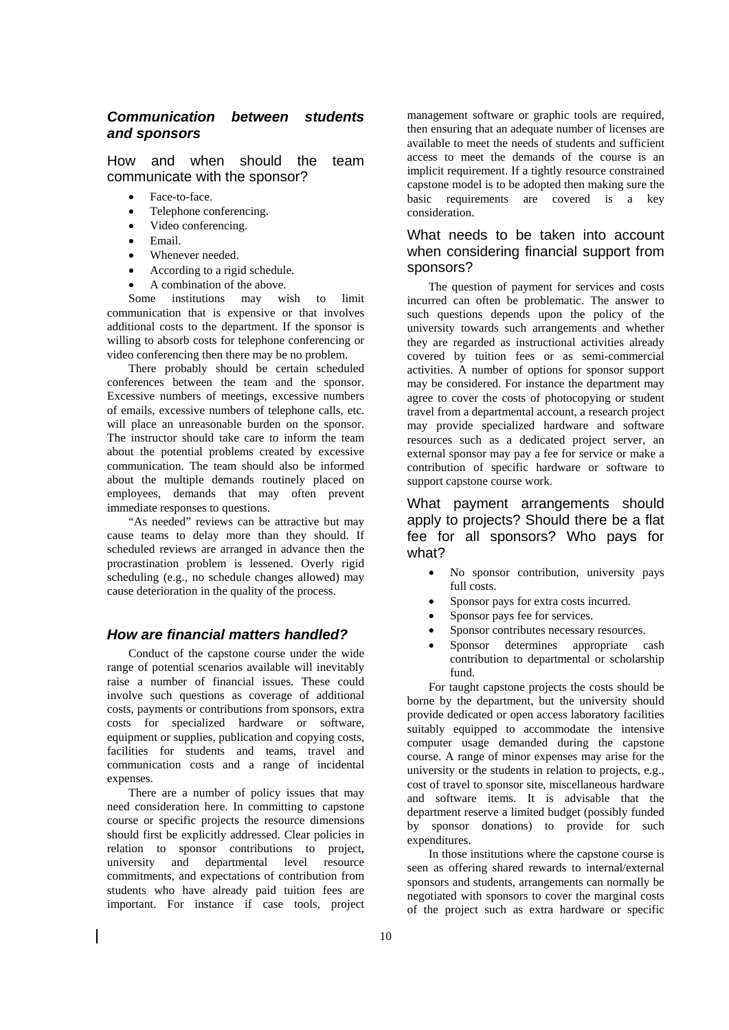### *Communication between students and sponsors*

How and when should the team communicate with the sponsor?

- Face-to-face.
- Telephone conferencing.
- Video conferencing.
- Email.
- Whenever needed.
- According to a rigid schedule.
- A combination of the above.

 Some institutions may wish to limit communication that is expensive or that involves additional costs to the department. If the sponsor is willing to absorb costs for telephone conferencing or video conferencing then there may be no problem.

 There probably should be certain scheduled conferences between the team and the sponsor. Excessive numbers of meetings, excessive numbers of emails, excessive numbers of telephone calls, etc. will place an unreasonable burden on the sponsor. The instructor should take care to inform the team about the potential problems created by excessive communication. The team should also be informed about the multiple demands routinely placed on employees, demands that may often prevent immediate responses to questions.

 "As needed" reviews can be attractive but may cause teams to delay more than they should. If scheduled reviews are arranged in advance then the procrastination problem is lessened. Overly rigid scheduling (e.g., no schedule changes allowed) may cause deterioration in the quality of the process.

#### *How are financial matters handled?*

 Conduct of the capstone course under the wide range of potential scenarios available will inevitably raise a number of financial issues. These could involve such questions as coverage of additional costs, payments or contributions from sponsors, extra costs for specialized hardware or software, equipment or supplies, publication and copying costs, facilities for students and teams, travel and communication costs and a range of incidental expenses.

 There are a number of policy issues that may need consideration here. In committing to capstone course or specific projects the resource dimensions should first be explicitly addressed. Clear policies in relation to sponsor contributions to project, university and departmental level resource commitments, and expectations of contribution from students who have already paid tuition fees are important. For instance if case tools, project

management software or graphic tools are required, then ensuring that an adequate number of licenses are available to meet the needs of students and sufficient access to meet the demands of the course is an implicit requirement. If a tightly resource constrained capstone model is to be adopted then making sure the basic requirements are covered is a key consideration.

### What needs to be taken into account when considering financial support from sponsors?

 The question of payment for services and costs incurred can often be problematic. The answer to such questions depends upon the policy of the university towards such arrangements and whether they are regarded as instructional activities already covered by tuition fees or as semi-commercial activities. A number of options for sponsor support may be considered. For instance the department may agree to cover the costs of photocopying or student travel from a departmental account, a research project may provide specialized hardware and software resources such as a dedicated project server, an external sponsor may pay a fee for service or make a contribution of specific hardware or software to support capstone course work.

What payment arrangements should apply to projects? Should there be a flat fee for all sponsors? Who pays for what?

- No sponsor contribution, university pays full costs.
- Sponsor pays for extra costs incurred.
- Sponsor pays fee for services.
- Sponsor contributes necessary resources.
- Sponsor determines appropriate cash contribution to departmental or scholarship fund.

 For taught capstone projects the costs should be borne by the department, but the university should provide dedicated or open access laboratory facilities suitably equipped to accommodate the intensive computer usage demanded during the capstone course. A range of minor expenses may arise for the university or the students in relation to projects, e.g., cost of travel to sponsor site, miscellaneous hardware and software items. It is advisable that the department reserve a limited budget (possibly funded by sponsor donations) to provide for such expenditures.

 In those institutions where the capstone course is seen as offering shared rewards to internal/external sponsors and students, arrangements can normally be negotiated with sponsors to cover the marginal costs of the project such as extra hardware or specific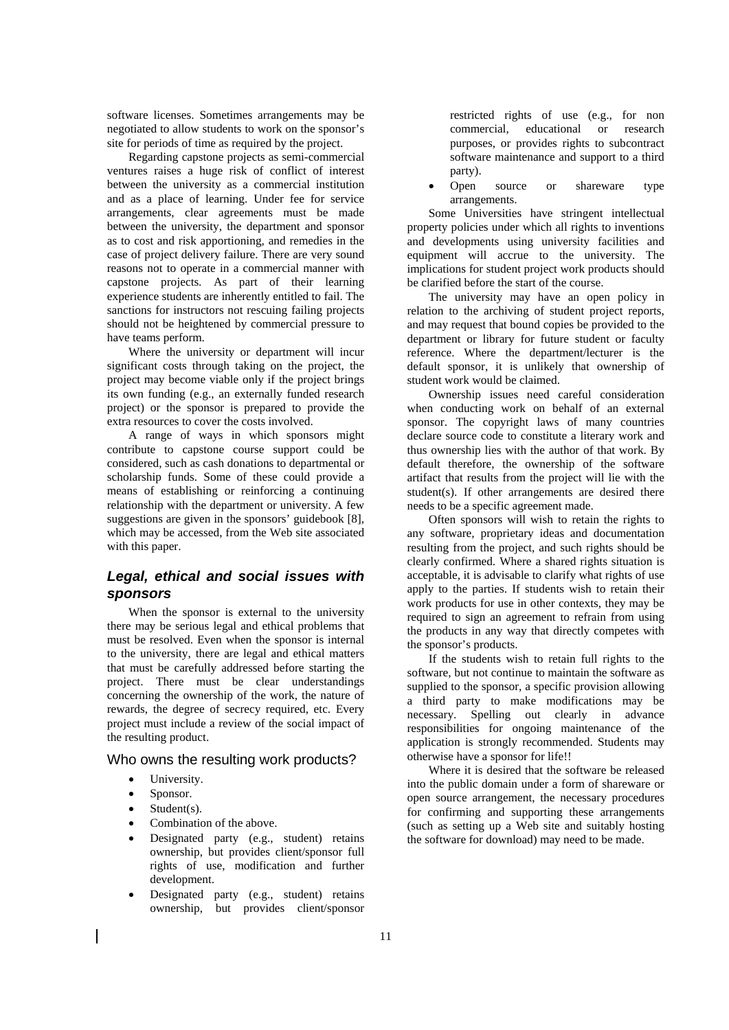software licenses. Sometimes arrangements may be negotiated to allow students to work on the sponsor's site for periods of time as required by the project.

 Regarding capstone projects as semi-commercial ventures raises a huge risk of conflict of interest between the university as a commercial institution and as a place of learning. Under fee for service arrangements, clear agreements must be made between the university, the department and sponsor as to cost and risk apportioning, and remedies in the case of project delivery failure. There are very sound reasons not to operate in a commercial manner with capstone projects. As part of their learning experience students are inherently entitled to fail. The sanctions for instructors not rescuing failing projects should not be heightened by commercial pressure to have teams perform.

 Where the university or department will incur significant costs through taking on the project, the project may become viable only if the project brings its own funding (e.g., an externally funded research project) or the sponsor is prepared to provide the extra resources to cover the costs involved.

 A range of ways in which sponsors might contribute to capstone course support could be considered, such as cash donations to departmental or scholarship funds. Some of these could provide a means of establishing or reinforcing a continuing relationship with the department or university. A few suggestions are given in the sponsors' guidebook [8], which may be accessed, from the Web site associated with this paper.

### *Legal, ethical and social issues with sponsors*

 When the sponsor is external to the university there may be serious legal and ethical problems that must be resolved. Even when the sponsor is internal to the university, there are legal and ethical matters that must be carefully addressed before starting the project. There must be clear understandings concerning the ownership of the work, the nature of rewards, the degree of secrecy required, etc. Every project must include a review of the social impact of the resulting product.

#### Who owns the resulting work products?

- University.
- Sponsor.
- Student(s).
- Combination of the above.
- Designated party (e.g., student) retains ownership, but provides client/sponsor full rights of use, modification and further development.
- Designated party (e.g., student) retains ownership, but provides client/sponsor

restricted rights of use (e.g., for non commercial, educational or research purposes, or provides rights to subcontract software maintenance and support to a third party).

Open source or shareware type arrangements.

 Some Universities have stringent intellectual property policies under which all rights to inventions and developments using university facilities and equipment will accrue to the university. The implications for student project work products should be clarified before the start of the course.

 The university may have an open policy in relation to the archiving of student project reports, and may request that bound copies be provided to the department or library for future student or faculty reference. Where the department/lecturer is the default sponsor, it is unlikely that ownership of student work would be claimed.

 Ownership issues need careful consideration when conducting work on behalf of an external sponsor. The copyright laws of many countries declare source code to constitute a literary work and thus ownership lies with the author of that work. By default therefore, the ownership of the software artifact that results from the project will lie with the student(s). If other arrangements are desired there needs to be a specific agreement made.

 Often sponsors will wish to retain the rights to any software, proprietary ideas and documentation resulting from the project, and such rights should be clearly confirmed. Where a shared rights situation is acceptable, it is advisable to clarify what rights of use apply to the parties. If students wish to retain their work products for use in other contexts, they may be required to sign an agreement to refrain from using the products in any way that directly competes with the sponsor's products.

 If the students wish to retain full rights to the software, but not continue to maintain the software as supplied to the sponsor, a specific provision allowing a third party to make modifications may be necessary. Spelling out clearly in advance responsibilities for ongoing maintenance of the application is strongly recommended. Students may otherwise have a sponsor for life!!

 Where it is desired that the software be released into the public domain under a form of shareware or open source arrangement, the necessary procedures for confirming and supporting these arrangements (such as setting up a Web site and suitably hosting the software for download) may need to be made.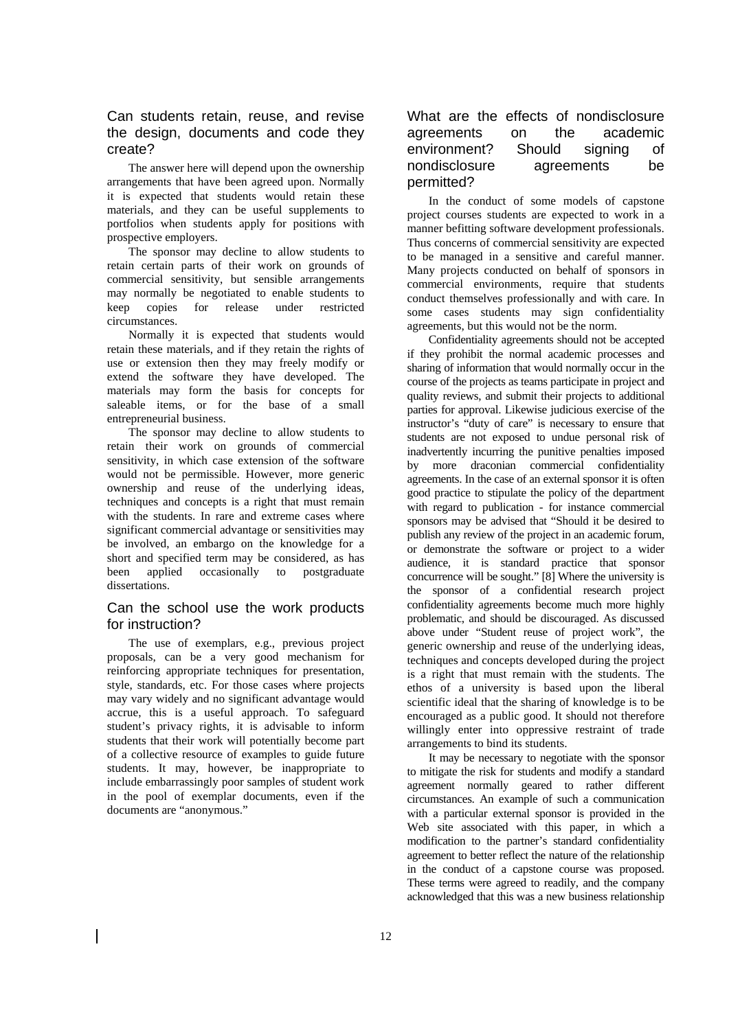### Can students retain, reuse, and revise the design, documents and code they create?

 The answer here will depend upon the ownership arrangements that have been agreed upon. Normally it is expected that students would retain these materials, and they can be useful supplements to portfolios when students apply for positions with prospective employers.

 The sponsor may decline to allow students to retain certain parts of their work on grounds of commercial sensitivity, but sensible arrangements may normally be negotiated to enable students to keep copies for release under restricted circumstances.

 Normally it is expected that students would retain these materials, and if they retain the rights of use or extension then they may freely modify or extend the software they have developed. The materials may form the basis for concepts for saleable items, or for the base of a small entrepreneurial business.

 The sponsor may decline to allow students to retain their work on grounds of commercial sensitivity, in which case extension of the software would not be permissible. However, more generic ownership and reuse of the underlying ideas, techniques and concepts is a right that must remain with the students. In rare and extreme cases where significant commercial advantage or sensitivities may be involved, an embargo on the knowledge for a short and specified term may be considered, as has been applied occasionally to postgraduate dissertations.

#### Can the school use the work products for instruction?

 The use of exemplars, e.g., previous project proposals, can be a very good mechanism for reinforcing appropriate techniques for presentation, style, standards, etc. For those cases where projects may vary widely and no significant advantage would accrue, this is a useful approach. To safeguard student's privacy rights, it is advisable to inform students that their work will potentially become part of a collective resource of examples to guide future students. It may, however, be inappropriate to include embarrassingly poor samples of student work in the pool of exemplar documents, even if the documents are "anonymous."

### What are the effects of nondisclosure agreements on the academic environment? Should signing of nondisclosure agreements be permitted?

 In the conduct of some models of capstone project courses students are expected to work in a manner befitting software development professionals. Thus concerns of commercial sensitivity are expected to be managed in a sensitive and careful manner. Many projects conducted on behalf of sponsors in commercial environments, require that students conduct themselves professionally and with care. In some cases students may sign confidentiality agreements, but this would not be the norm.

 Confidentiality agreements should not be accepted if they prohibit the normal academic processes and sharing of information that would normally occur in the course of the projects as teams participate in project and quality reviews, and submit their projects to additional parties for approval. Likewise judicious exercise of the instructor's "duty of care" is necessary to ensure that students are not exposed to undue personal risk of inadvertently incurring the punitive penalties imposed by more draconian commercial confidentiality agreements. In the case of an external sponsor it is often good practice to stipulate the policy of the department with regard to publication - for instance commercial sponsors may be advised that "Should it be desired to publish any review of the project in an academic forum, or demonstrate the software or project to a wider audience, it is standard practice that sponsor concurrence will be sought." [8] Where the university is the sponsor of a confidential research project confidentiality agreements become much more highly problematic, and should be discouraged. As discussed above under "Student reuse of project work", the generic ownership and reuse of the underlying ideas, techniques and concepts developed during the project is a right that must remain with the students. The ethos of a university is based upon the liberal scientific ideal that the sharing of knowledge is to be encouraged as a public good. It should not therefore willingly enter into oppressive restraint of trade arrangements to bind its students.

 It may be necessary to negotiate with the sponsor to mitigate the risk for students and modify a standard agreement normally geared to rather different circumstances. An example of such a communication with a particular external sponsor is provided in the Web site associated with this paper, in which a modification to the partner's standard confidentiality agreement to better reflect the nature of the relationship in the conduct of a capstone course was proposed. These terms were agreed to readily, and the company acknowledged that this was a new business relationship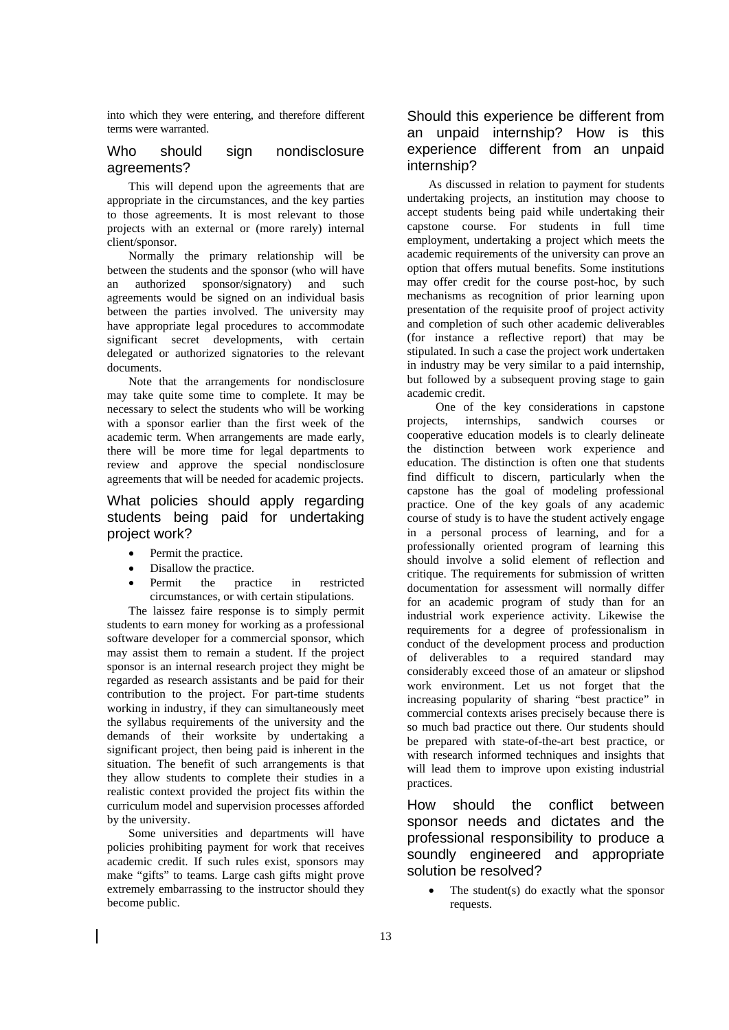into which they were entering, and therefore different terms were warranted.

#### Who should sign nondisclosure agreements?

 This will depend upon the agreements that are appropriate in the circumstances, and the key parties to those agreements. It is most relevant to those projects with an external or (more rarely) internal client/sponsor.

 Normally the primary relationship will be between the students and the sponsor (who will have an authorized sponsor/signatory) and such agreements would be signed on an individual basis between the parties involved. The university may have appropriate legal procedures to accommodate significant secret developments, with certain delegated or authorized signatories to the relevant documents.

 Note that the arrangements for nondisclosure may take quite some time to complete. It may be necessary to select the students who will be working with a sponsor earlier than the first week of the academic term. When arrangements are made early, there will be more time for legal departments to review and approve the special nondisclosure agreements that will be needed for academic projects.

### What policies should apply regarding students being paid for undertaking project work?

- Permit the practice.
- Disallow the practice.
- Permit the practice in restricted circumstances, or with certain stipulations.

 The laissez faire response is to simply permit students to earn money for working as a professional software developer for a commercial sponsor, which may assist them to remain a student. If the project sponsor is an internal research project they might be regarded as research assistants and be paid for their contribution to the project. For part-time students working in industry, if they can simultaneously meet the syllabus requirements of the university and the demands of their worksite by undertaking a significant project, then being paid is inherent in the situation. The benefit of such arrangements is that they allow students to complete their studies in a realistic context provided the project fits within the curriculum model and supervision processes afforded by the university.

 Some universities and departments will have policies prohibiting payment for work that receives academic credit. If such rules exist, sponsors may make "gifts" to teams. Large cash gifts might prove extremely embarrassing to the instructor should they become public.

### Should this experience be different from an unpaid internship? How is this experience different from an unpaid internship?

 As discussed in relation to payment for students undertaking projects, an institution may choose to accept students being paid while undertaking their capstone course. For students in full time employment, undertaking a project which meets the academic requirements of the university can prove an option that offers mutual benefits. Some institutions may offer credit for the course post-hoc, by such mechanisms as recognition of prior learning upon presentation of the requisite proof of project activity and completion of such other academic deliverables (for instance a reflective report) that may be stipulated. In such a case the project work undertaken in industry may be very similar to a paid internship, but followed by a subsequent proving stage to gain academic credit.

 One of the key considerations in capstone projects, internships, sandwich courses or cooperative education models is to clearly delineate the distinction between work experience and education. The distinction is often one that students find difficult to discern, particularly when the capstone has the goal of modeling professional practice. One of the key goals of any academic course of study is to have the student actively engage in a personal process of learning, and for a professionally oriented program of learning this should involve a solid element of reflection and critique. The requirements for submission of written documentation for assessment will normally differ for an academic program of study than for an industrial work experience activity. Likewise the requirements for a degree of professionalism in conduct of the development process and production of deliverables to a required standard may considerably exceed those of an amateur or slipshod work environment. Let us not forget that the increasing popularity of sharing "best practice" in commercial contexts arises precisely because there is so much bad practice out there. Our students should be prepared with state-of-the-art best practice, or with research informed techniques and insights that will lead them to improve upon existing industrial practices.

How should the conflict between sponsor needs and dictates and the professional responsibility to produce a soundly engineered and appropriate solution be resolved?

The student(s) do exactly what the sponsor requests.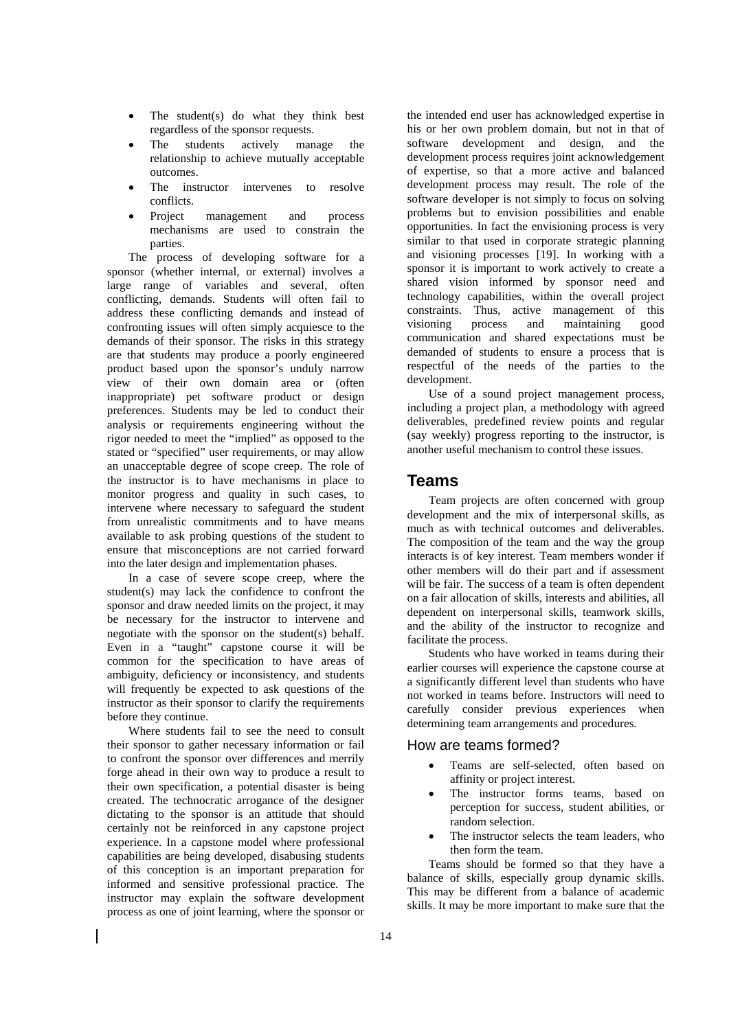- The student(s) do what they think best regardless of the sponsor requests.
- The students actively manage the relationship to achieve mutually acceptable outcomes.
- The instructor intervenes to resolve conflicts.
- Project management and process mechanisms are used to constrain the parties.

 The process of developing software for a sponsor (whether internal, or external) involves a large range of variables and several, often conflicting, demands. Students will often fail to address these conflicting demands and instead of confronting issues will often simply acquiesce to the demands of their sponsor. The risks in this strategy are that students may produce a poorly engineered product based upon the sponsor's unduly narrow view of their own domain area or (often inappropriate) pet software product or design preferences. Students may be led to conduct their analysis or requirements engineering without the rigor needed to meet the "implied" as opposed to the stated or "specified" user requirements, or may allow an unacceptable degree of scope creep. The role of the instructor is to have mechanisms in place to monitor progress and quality in such cases, to intervene where necessary to safeguard the student from unrealistic commitments and to have means available to ask probing questions of the student to ensure that misconceptions are not carried forward into the later design and implementation phases.

 In a case of severe scope creep, where the student(s) may lack the confidence to confront the sponsor and draw needed limits on the project, it may be necessary for the instructor to intervene and negotiate with the sponsor on the student(s) behalf. Even in a "taught" capstone course it will be common for the specification to have areas of ambiguity, deficiency or inconsistency, and students will frequently be expected to ask questions of the instructor as their sponsor to clarify the requirements before they continue.

 Where students fail to see the need to consult their sponsor to gather necessary information or fail to confront the sponsor over differences and merrily forge ahead in their own way to produce a result to their own specification, a potential disaster is being created. The technocratic arrogance of the designer dictating to the sponsor is an attitude that should certainly not be reinforced in any capstone project experience. In a capstone model where professional capabilities are being developed, disabusing students of this conception is an important preparation for informed and sensitive professional practice. The instructor may explain the software development process as one of joint learning, where the sponsor or

the intended end user has acknowledged expertise in his or her own problem domain, but not in that of software development and design, and the development process requires joint acknowledgement of expertise, so that a more active and balanced development process may result. The role of the software developer is not simply to focus on solving problems but to envision possibilities and enable opportunities. In fact the envisioning process is very similar to that used in corporate strategic planning and visioning processes [19]. In working with a sponsor it is important to work actively to create a shared vision informed by sponsor need and technology capabilities, within the overall project constraints. Thus, active management of this visioning process and maintaining good communication and shared expectations must be demanded of students to ensure a process that is respectful of the needs of the parties to the development.

Use of a sound project management process, including a project plan, a methodology with agreed deliverables, predefined review points and regular (say weekly) progress reporting to the instructor, is another useful mechanism to control these issues.

### **Teams**

 Team projects are often concerned with group development and the mix of interpersonal skills, as much as with technical outcomes and deliverables. The composition of the team and the way the group interacts is of key interest. Team members wonder if other members will do their part and if assessment will be fair. The success of a team is often dependent on a fair allocation of skills, interests and abilities, all dependent on interpersonal skills, teamwork skills, and the ability of the instructor to recognize and facilitate the process.

 Students who have worked in teams during their earlier courses will experience the capstone course at a significantly different level than students who have not worked in teams before. Instructors will need to carefully consider previous experiences when determining team arrangements and procedures.

#### How are teams formed?

- Teams are self-selected, often based on affinity or project interest.
- The instructor forms teams, based on perception for success, student abilities, or random selection.
- The instructor selects the team leaders, who then form the team.

 Teams should be formed so that they have a balance of skills, especially group dynamic skills. This may be different from a balance of academic skills. It may be more important to make sure that the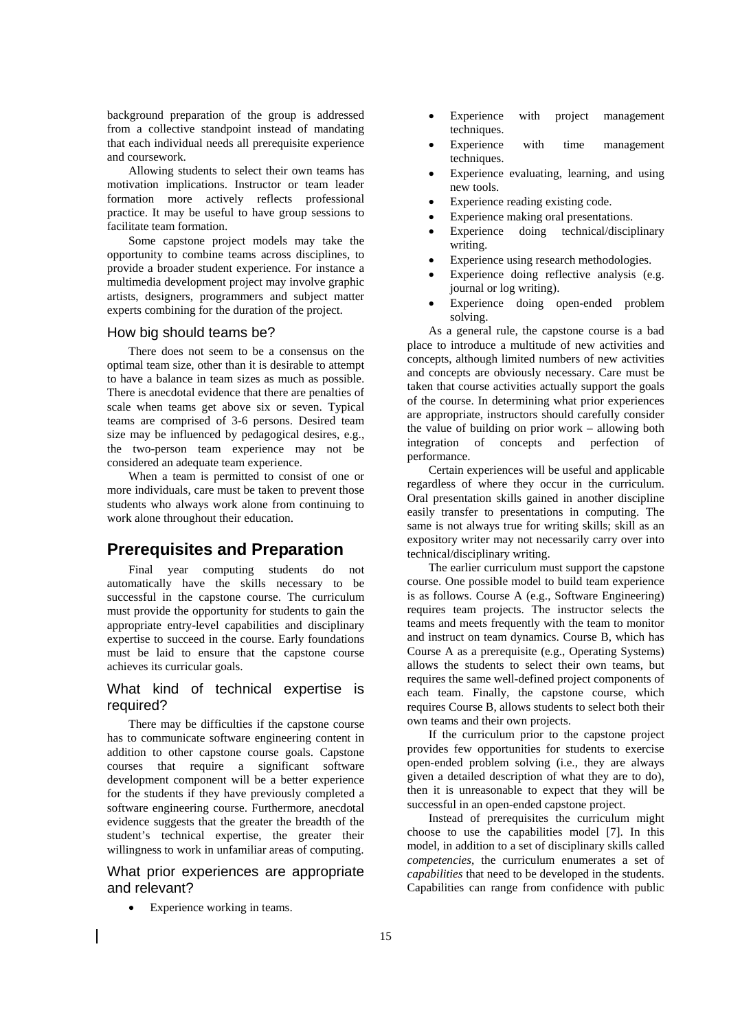background preparation of the group is addressed from a collective standpoint instead of mandating that each individual needs all prerequisite experience and coursework.

 Allowing students to select their own teams has motivation implications. Instructor or team leader formation more actively reflects professional practice. It may be useful to have group sessions to facilitate team formation.

 Some capstone project models may take the opportunity to combine teams across disciplines, to provide a broader student experience. For instance a multimedia development project may involve graphic artists, designers, programmers and subject matter experts combining for the duration of the project.

#### How big should teams be?

 There does not seem to be a consensus on the optimal team size, other than it is desirable to attempt to have a balance in team sizes as much as possible. There is anecdotal evidence that there are penalties of scale when teams get above six or seven. Typical teams are comprised of 3-6 persons. Desired team size may be influenced by pedagogical desires, e.g., the two-person team experience may not be considered an adequate team experience.

 When a team is permitted to consist of one or more individuals, care must be taken to prevent those students who always work alone from continuing to work alone throughout their education.

### **Prerequisites and Preparation**

 Final year computing students do not automatically have the skills necessary to be successful in the capstone course. The curriculum must provide the opportunity for students to gain the appropriate entry-level capabilities and disciplinary expertise to succeed in the course. Early foundations must be laid to ensure that the capstone course achieves its curricular goals.

#### What kind of technical expertise is required?

 There may be difficulties if the capstone course has to communicate software engineering content in addition to other capstone course goals. Capstone courses that require a significant software development component will be a better experience for the students if they have previously completed a software engineering course. Furthermore, anecdotal evidence suggests that the greater the breadth of the student's technical expertise, the greater their willingness to work in unfamiliar areas of computing.

#### What prior experiences are appropriate and relevant?

• Experience working in teams.

- Experience with project management techniques.
- Experience with time management techniques.
- Experience evaluating, learning, and using new tools.
- Experience reading existing code.
- Experience making oral presentations.
- Experience doing technical/disciplinary writing.
- Experience using research methodologies.
- Experience doing reflective analysis (e.g. journal or log writing).
- Experience doing open-ended problem solving.

 As a general rule, the capstone course is a bad place to introduce a multitude of new activities and concepts, although limited numbers of new activities and concepts are obviously necessary. Care must be taken that course activities actually support the goals of the course. In determining what prior experiences are appropriate, instructors should carefully consider the value of building on prior work – allowing both integration of concepts and perfection of performance.

 Certain experiences will be useful and applicable regardless of where they occur in the curriculum. Oral presentation skills gained in another discipline easily transfer to presentations in computing. The same is not always true for writing skills; skill as an expository writer may not necessarily carry over into technical/disciplinary writing.

 The earlier curriculum must support the capstone course. One possible model to build team experience is as follows. Course A (e.g., Software Engineering) requires team projects. The instructor selects the teams and meets frequently with the team to monitor and instruct on team dynamics. Course B, which has Course A as a prerequisite (e.g., Operating Systems) allows the students to select their own teams, but requires the same well-defined project components of each team. Finally, the capstone course, which requires Course B, allows students to select both their own teams and their own projects.

 If the curriculum prior to the capstone project provides few opportunities for students to exercise open-ended problem solving (i.e., they are always given a detailed description of what they are to do), then it is unreasonable to expect that they will be successful in an open-ended capstone project.

 Instead of prerequisites the curriculum might choose to use the capabilities model [7]. In this model, in addition to a set of disciplinary skills called *competencies*, the curriculum enumerates a set of *capabilities* that need to be developed in the students. Capabilities can range from confidence with public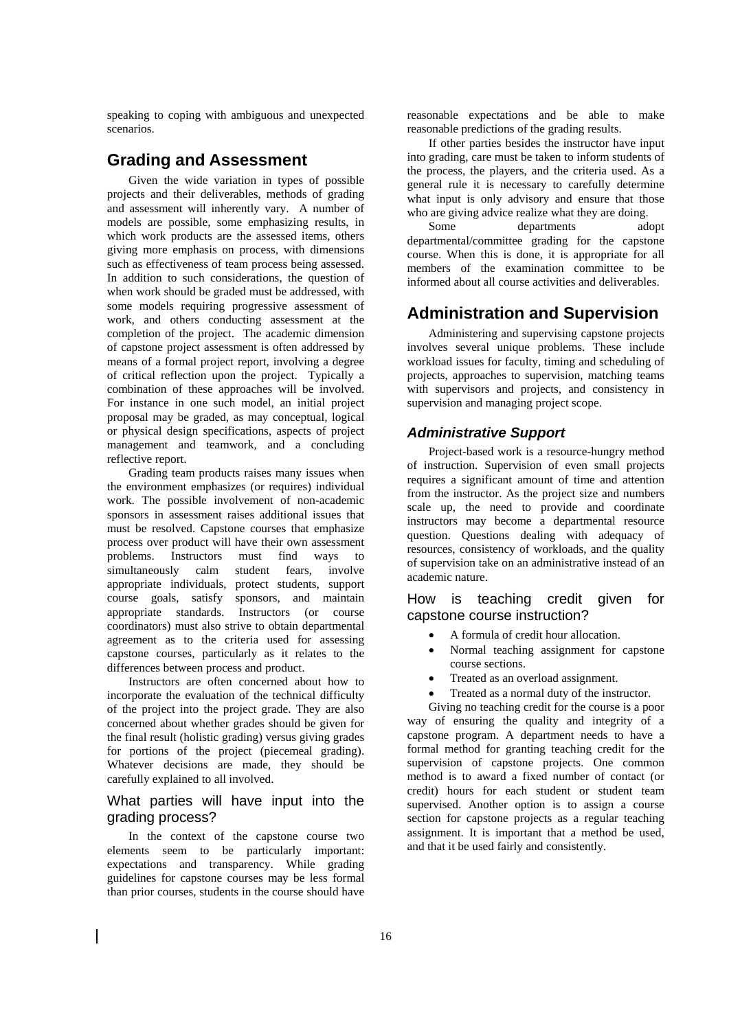speaking to coping with ambiguous and unexpected scenarios.

## **Grading and Assessment**

 Given the wide variation in types of possible projects and their deliverables, methods of grading and assessment will inherently vary. A number of models are possible, some emphasizing results, in which work products are the assessed items, others giving more emphasis on process, with dimensions such as effectiveness of team process being assessed. In addition to such considerations, the question of when work should be graded must be addressed, with some models requiring progressive assessment of work, and others conducting assessment at the completion of the project. The academic dimension of capstone project assessment is often addressed by means of a formal project report, involving a degree of critical reflection upon the project. Typically a combination of these approaches will be involved. For instance in one such model, an initial project proposal may be graded, as may conceptual, logical or physical design specifications, aspects of project management and teamwork, and a concluding reflective report.

 Grading team products raises many issues when the environment emphasizes (or requires) individual work. The possible involvement of non-academic sponsors in assessment raises additional issues that must be resolved. Capstone courses that emphasize process over product will have their own assessment problems. Instructors must find ways to simultaneously calm student fears, involve appropriate individuals, protect students, support course goals, satisfy sponsors, and maintain appropriate standards. Instructors (or course coordinators) must also strive to obtain departmental agreement as to the criteria used for assessing capstone courses, particularly as it relates to the differences between process and product.

 Instructors are often concerned about how to incorporate the evaluation of the technical difficulty of the project into the project grade. They are also concerned about whether grades should be given for the final result (holistic grading) versus giving grades for portions of the project (piecemeal grading). Whatever decisions are made, they should be carefully explained to all involved.

### What parties will have input into the grading process?

 In the context of the capstone course two elements seem to be particularly important: expectations and transparency. While grading guidelines for capstone courses may be less formal than prior courses, students in the course should have reasonable expectations and be able to make reasonable predictions of the grading results.

 If other parties besides the instructor have input into grading, care must be taken to inform students of the process, the players, and the criteria used. As a general rule it is necessary to carefully determine what input is only advisory and ensure that those who are giving advice realize what they are doing.

 Some departments adopt departmental/committee grading for the capstone course. When this is done, it is appropriate for all members of the examination committee to be informed about all course activities and deliverables.

## **Administration and Supervision**

 Administering and supervising capstone projects involves several unique problems. These include workload issues for faculty, timing and scheduling of projects, approaches to supervision, matching teams with supervisors and projects, and consistency in supervision and managing project scope.

### *Administrative Support*

 Project-based work is a resource-hungry method of instruction. Supervision of even small projects requires a significant amount of time and attention from the instructor. As the project size and numbers scale up, the need to provide and coordinate instructors may become a departmental resource question. Questions dealing with adequacy of resources, consistency of workloads, and the quality of supervision take on an administrative instead of an academic nature.

### How is teaching credit given for capstone course instruction?

- A formula of credit hour allocation.
- Normal teaching assignment for capstone course sections.
- Treated as an overload assignment.
- Treated as a normal duty of the instructor.

 Giving no teaching credit for the course is a poor way of ensuring the quality and integrity of a capstone program. A department needs to have a formal method for granting teaching credit for the supervision of capstone projects. One common method is to award a fixed number of contact (or credit) hours for each student or student team supervised. Another option is to assign a course section for capstone projects as a regular teaching assignment. It is important that a method be used, and that it be used fairly and consistently.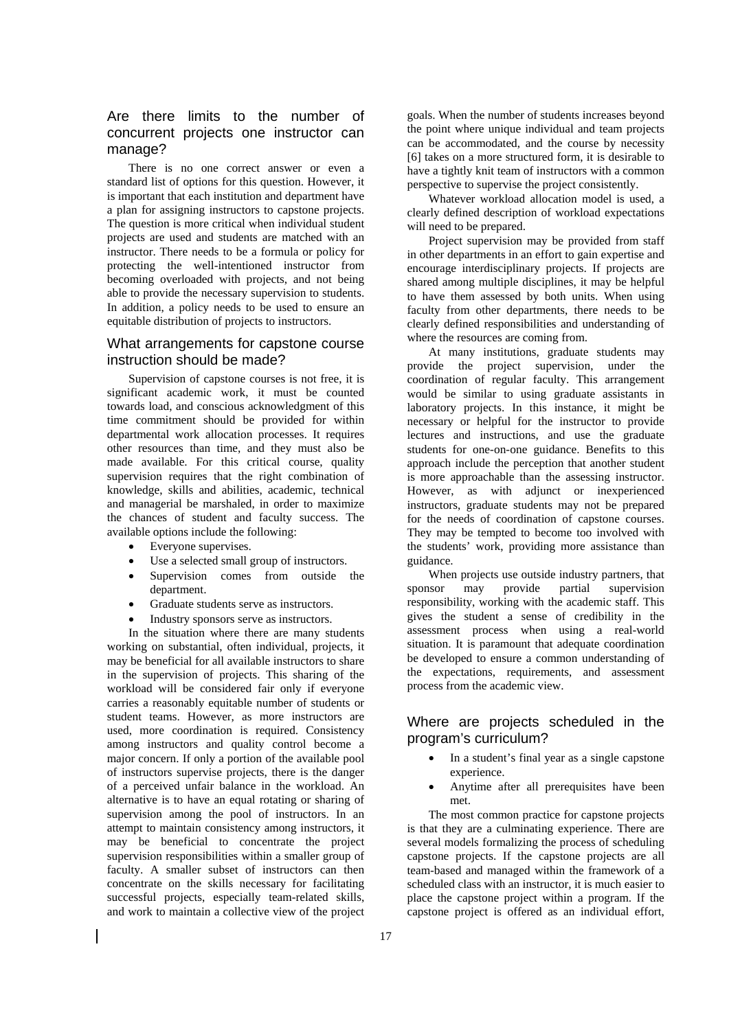### Are there limits to the number of concurrent projects one instructor can manage?

 There is no one correct answer or even a standard list of options for this question. However, it is important that each institution and department have a plan for assigning instructors to capstone projects. The question is more critical when individual student projects are used and students are matched with an instructor. There needs to be a formula or policy for protecting the well-intentioned instructor from becoming overloaded with projects, and not being able to provide the necessary supervision to students. In addition, a policy needs to be used to ensure an equitable distribution of projects to instructors.

### What arrangements for capstone course instruction should be made?

 Supervision of capstone courses is not free, it is significant academic work, it must be counted towards load, and conscious acknowledgment of this time commitment should be provided for within departmental work allocation processes. It requires other resources than time, and they must also be made available. For this critical course, quality supervision requires that the right combination of knowledge, skills and abilities, academic, technical and managerial be marshaled, in order to maximize the chances of student and faculty success. The available options include the following:

- Everyone supervises.
- Use a selected small group of instructors.
- Supervision comes from outside the department.
- Graduate students serve as instructors.
- Industry sponsors serve as instructors.

 In the situation where there are many students working on substantial, often individual, projects, it may be beneficial for all available instructors to share in the supervision of projects. This sharing of the workload will be considered fair only if everyone carries a reasonably equitable number of students or student teams. However, as more instructors are used, more coordination is required. Consistency among instructors and quality control become a major concern. If only a portion of the available pool of instructors supervise projects, there is the danger of a perceived unfair balance in the workload. An alternative is to have an equal rotating or sharing of supervision among the pool of instructors. In an attempt to maintain consistency among instructors, it may be beneficial to concentrate the project supervision responsibilities within a smaller group of faculty. A smaller subset of instructors can then concentrate on the skills necessary for facilitating successful projects, especially team-related skills, and work to maintain a collective view of the project

goals. When the number of students increases beyond the point where unique individual and team projects can be accommodated, and the course by necessity [6] takes on a more structured form, it is desirable to have a tightly knit team of instructors with a common perspective to supervise the project consistently.

 Whatever workload allocation model is used, a clearly defined description of workload expectations will need to be prepared.

 Project supervision may be provided from staff in other departments in an effort to gain expertise and encourage interdisciplinary projects. If projects are shared among multiple disciplines, it may be helpful to have them assessed by both units. When using faculty from other departments, there needs to be clearly defined responsibilities and understanding of where the resources are coming from.

 At many institutions, graduate students may provide the project supervision, under the coordination of regular faculty. This arrangement would be similar to using graduate assistants in laboratory projects. In this instance, it might be necessary or helpful for the instructor to provide lectures and instructions, and use the graduate students for one-on-one guidance. Benefits to this approach include the perception that another student is more approachable than the assessing instructor. However, as with adjunct or inexperienced instructors, graduate students may not be prepared for the needs of coordination of capstone courses. They may be tempted to become too involved with the students' work, providing more assistance than guidance.

 When projects use outside industry partners, that sponsor may provide partial supervision responsibility, working with the academic staff. This gives the student a sense of credibility in the assessment process when using a real-world situation. It is paramount that adequate coordination be developed to ensure a common understanding of the expectations, requirements, and assessment process from the academic view.

### Where are projects scheduled in the program's curriculum?

- In a student's final year as a single capstone experience.
- Anytime after all prerequisites have been met.

 The most common practice for capstone projects is that they are a culminating experience. There are several models formalizing the process of scheduling capstone projects. If the capstone projects are all team-based and managed within the framework of a scheduled class with an instructor, it is much easier to place the capstone project within a program. If the capstone project is offered as an individual effort,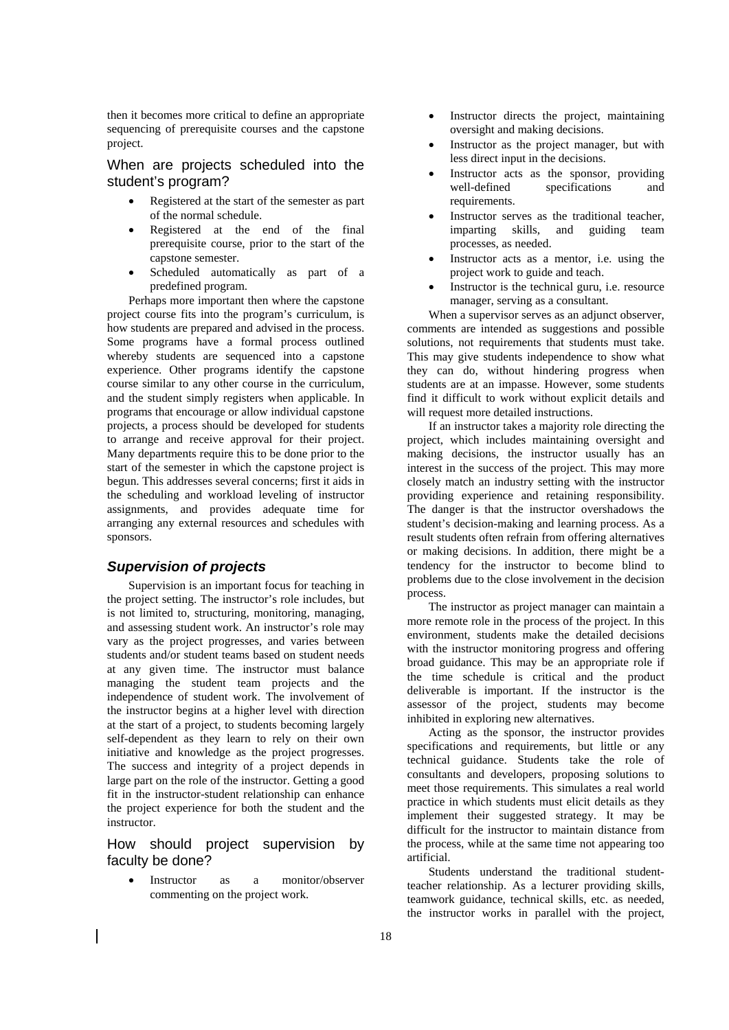then it becomes more critical to define an appropriate sequencing of prerequisite courses and the capstone project.

#### When are projects scheduled into the student's program?

- Registered at the start of the semester as part of the normal schedule.
- Registered at the end of the final prerequisite course, prior to the start of the capstone semester.
- Scheduled automatically as part of a predefined program.

 Perhaps more important then where the capstone project course fits into the program's curriculum, is how students are prepared and advised in the process. Some programs have a formal process outlined whereby students are sequenced into a capstone experience. Other programs identify the capstone course similar to any other course in the curriculum, and the student simply registers when applicable. In programs that encourage or allow individual capstone projects, a process should be developed for students to arrange and receive approval for their project. Many departments require this to be done prior to the start of the semester in which the capstone project is begun. This addresses several concerns; first it aids in the scheduling and workload leveling of instructor assignments, and provides adequate time for arranging any external resources and schedules with sponsors.

#### *Supervision of projects*

 Supervision is an important focus for teaching in the project setting. The instructor's role includes, but is not limited to, structuring, monitoring, managing, and assessing student work. An instructor's role may vary as the project progresses, and varies between students and/or student teams based on student needs at any given time. The instructor must balance managing the student team projects and the independence of student work. The involvement of the instructor begins at a higher level with direction at the start of a project, to students becoming largely self-dependent as they learn to rely on their own initiative and knowledge as the project progresses. The success and integrity of a project depends in large part on the role of the instructor. Getting a good fit in the instructor-student relationship can enhance the project experience for both the student and the instructor.

How should project supervision by faculty be done?

• Instructor as a monitor/observer commenting on the project work.

- Instructor directs the project, maintaining oversight and making decisions.
- Instructor as the project manager, but with less direct input in the decisions.
- Instructor acts as the sponsor, providing well-defined specifications and requirements.
- Instructor serves as the traditional teacher, imparting skills, and guiding team processes, as needed.
- Instructor acts as a mentor, i.e. using the project work to guide and teach.
- Instructor is the technical guru, i.e. resource manager, serving as a consultant.

 When a supervisor serves as an adjunct observer, comments are intended as suggestions and possible solutions, not requirements that students must take. This may give students independence to show what they can do, without hindering progress when students are at an impasse. However, some students find it difficult to work without explicit details and will request more detailed instructions.

 If an instructor takes a majority role directing the project, which includes maintaining oversight and making decisions, the instructor usually has an interest in the success of the project. This may more closely match an industry setting with the instructor providing experience and retaining responsibility. The danger is that the instructor overshadows the student's decision-making and learning process. As a result students often refrain from offering alternatives or making decisions. In addition, there might be a tendency for the instructor to become blind to problems due to the close involvement in the decision process.

 The instructor as project manager can maintain a more remote role in the process of the project. In this environment, students make the detailed decisions with the instructor monitoring progress and offering broad guidance. This may be an appropriate role if the time schedule is critical and the product deliverable is important. If the instructor is the assessor of the project, students may become inhibited in exploring new alternatives.

 Acting as the sponsor, the instructor provides specifications and requirements, but little or any technical guidance. Students take the role of consultants and developers, proposing solutions to meet those requirements. This simulates a real world practice in which students must elicit details as they implement their suggested strategy. It may be difficult for the instructor to maintain distance from the process, while at the same time not appearing too artificial.

 Students understand the traditional studentteacher relationship. As a lecturer providing skills, teamwork guidance, technical skills, etc. as needed, the instructor works in parallel with the project,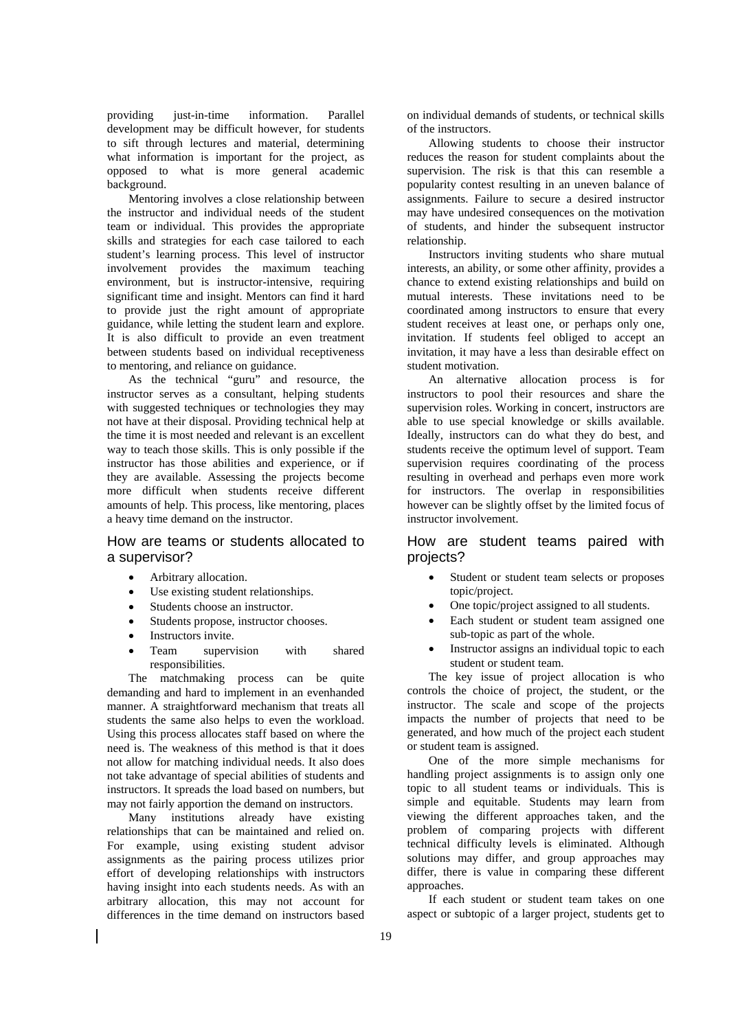providing just-in-time information. Parallel development may be difficult however, for students to sift through lectures and material, determining what information is important for the project, as opposed to what is more general academic background.

 Mentoring involves a close relationship between the instructor and individual needs of the student team or individual. This provides the appropriate skills and strategies for each case tailored to each student's learning process. This level of instructor involvement provides the maximum teaching environment, but is instructor-intensive, requiring significant time and insight. Mentors can find it hard to provide just the right amount of appropriate guidance, while letting the student learn and explore. It is also difficult to provide an even treatment between students based on individual receptiveness to mentoring, and reliance on guidance.

 As the technical "guru" and resource, the instructor serves as a consultant, helping students with suggested techniques or technologies they may not have at their disposal. Providing technical help at the time it is most needed and relevant is an excellent way to teach those skills. This is only possible if the instructor has those abilities and experience, or if they are available. Assessing the projects become more difficult when students receive different amounts of help. This process, like mentoring, places a heavy time demand on the instructor.

#### How are teams or students allocated to a supervisor?

- Arbitrary allocation.
- Use existing student relationships.
- Students choose an instructor.
- Students propose, instructor chooses.
- Instructors invite.
- Team supervision with shared responsibilities.

 The matchmaking process can be quite demanding and hard to implement in an evenhanded manner. A straightforward mechanism that treats all students the same also helps to even the workload. Using this process allocates staff based on where the need is. The weakness of this method is that it does not allow for matching individual needs. It also does not take advantage of special abilities of students and instructors. It spreads the load based on numbers, but may not fairly apportion the demand on instructors.

 Many institutions already have existing relationships that can be maintained and relied on. For example, using existing student advisor assignments as the pairing process utilizes prior effort of developing relationships with instructors having insight into each students needs. As with an arbitrary allocation, this may not account for differences in the time demand on instructors based

on individual demands of students, or technical skills of the instructors.

 Allowing students to choose their instructor reduces the reason for student complaints about the supervision. The risk is that this can resemble a popularity contest resulting in an uneven balance of assignments. Failure to secure a desired instructor may have undesired consequences on the motivation of students, and hinder the subsequent instructor relationship.

 Instructors inviting students who share mutual interests, an ability, or some other affinity, provides a chance to extend existing relationships and build on mutual interests. These invitations need to be coordinated among instructors to ensure that every student receives at least one, or perhaps only one, invitation. If students feel obliged to accept an invitation, it may have a less than desirable effect on student motivation.

 An alternative allocation process is for instructors to pool their resources and share the supervision roles. Working in concert, instructors are able to use special knowledge or skills available. Ideally, instructors can do what they do best, and students receive the optimum level of support. Team supervision requires coordinating of the process resulting in overhead and perhaps even more work for instructors. The overlap in responsibilities however can be slightly offset by the limited focus of instructor involvement.

#### How are student teams paired with projects?

- Student or student team selects or proposes topic/project.
- One topic/project assigned to all students.
- Each student or student team assigned one sub-topic as part of the whole.
- Instructor assigns an individual topic to each student or student team.

 The key issue of project allocation is who controls the choice of project, the student, or the instructor. The scale and scope of the projects impacts the number of projects that need to be generated, and how much of the project each student or student team is assigned.

 One of the more simple mechanisms for handling project assignments is to assign only one topic to all student teams or individuals. This is simple and equitable. Students may learn from viewing the different approaches taken, and the problem of comparing projects with different technical difficulty levels is eliminated. Although solutions may differ, and group approaches may differ, there is value in comparing these different approaches.

 If each student or student team takes on one aspect or subtopic of a larger project, students get to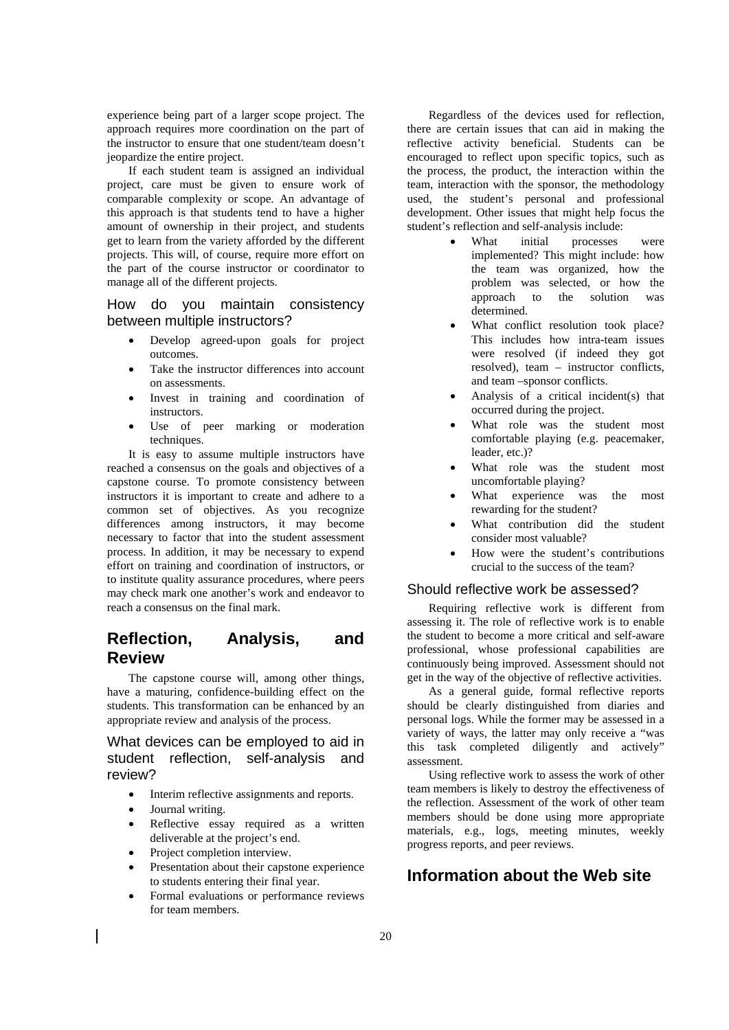experience being part of a larger scope project. The approach requires more coordination on the part of the instructor to ensure that one student/team doesn't jeopardize the entire project.

 If each student team is assigned an individual project, care must be given to ensure work of comparable complexity or scope. An advantage of this approach is that students tend to have a higher amount of ownership in their project, and students get to learn from the variety afforded by the different projects. This will, of course, require more effort on the part of the course instructor or coordinator to manage all of the different projects.

How do you maintain consistency between multiple instructors?

- Develop agreed-upon goals for project outcomes.
- Take the instructor differences into account on assessments.
- Invest in training and coordination of instructors.
- Use of peer marking or moderation techniques.

 It is easy to assume multiple instructors have reached a consensus on the goals and objectives of a capstone course. To promote consistency between instructors it is important to create and adhere to a common set of objectives. As you recognize differences among instructors, it may become necessary to factor that into the student assessment process. In addition, it may be necessary to expend effort on training and coordination of instructors, or to institute quality assurance procedures, where peers may check mark one another's work and endeavor to reach a consensus on the final mark.

## **Reflection, Analysis, and Review**

 The capstone course will, among other things, have a maturing, confidence-building effect on the students. This transformation can be enhanced by an appropriate review and analysis of the process.

What devices can be employed to aid in student reflection, self-analysis and review?

- Interim reflective assignments and reports.
- Journal writing.
- Reflective essay required as a written deliverable at the project's end.
- Project completion interview.
- Presentation about their capstone experience to students entering their final year.
- Formal evaluations or performance reviews for team members.

Regardless of the devices used for reflection, there are certain issues that can aid in making the reflective activity beneficial. Students can be encouraged to reflect upon specific topics, such as the process, the product, the interaction within the team, interaction with the sponsor, the methodology used, the student's personal and professional development. Other issues that might help focus the student's reflection and self-analysis include:

- What initial processes were implemented? This might include: how the team was organized, how the problem was selected, or how the<br>approach to the solution was approach to the solution was determined.
- What conflict resolution took place? This includes how intra-team issues were resolved (if indeed they got resolved), team – instructor conflicts, and team –sponsor conflicts.
- Analysis of a critical incident(s) that occurred during the project.
- What role was the student most comfortable playing (e.g. peacemaker, leader, etc.)?
- What role was the student most uncomfortable playing?
- What experience was the most rewarding for the student?
- What contribution did the student consider most valuable?
- How were the student's contributions crucial to the success of the team?

#### Should reflective work be assessed?

 Requiring reflective work is different from assessing it. The role of reflective work is to enable the student to become a more critical and self-aware professional, whose professional capabilities are continuously being improved. Assessment should not get in the way of the objective of reflective activities.

 As a general guide, formal reflective reports should be clearly distinguished from diaries and personal logs. While the former may be assessed in a variety of ways, the latter may only receive a "was this task completed diligently and actively" assessment.

 Using reflective work to assess the work of other team members is likely to destroy the effectiveness of the reflection. Assessment of the work of other team members should be done using more appropriate materials, e.g., logs, meeting minutes, weekly progress reports, and peer reviews.

## **Information about the Web site**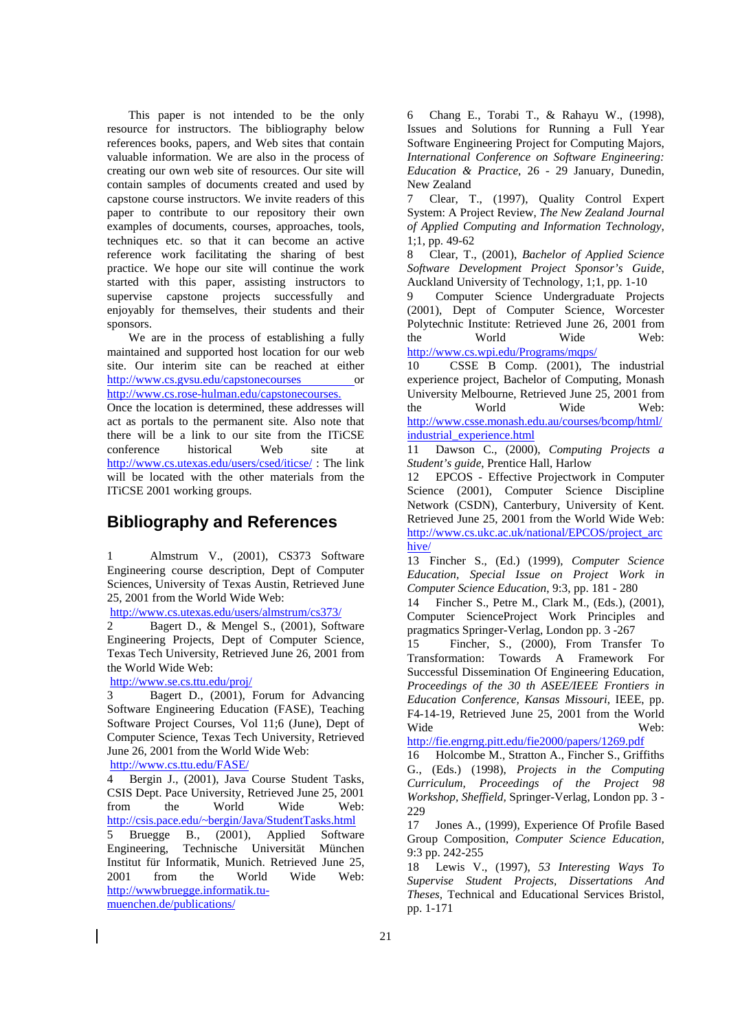This paper is not intended to be the only resource for instructors. The bibliography below references books, papers, and Web sites that contain valuable information. We are also in the process of creating our own web site of resources. Our site will contain samples of documents created and used by capstone course instructors. We invite readers of this paper to contribute to our repository their own examples of documents, courses, approaches, tools, techniques etc. so that it can become an active reference work facilitating the sharing of best practice. We hope our site will continue the work started with this paper, assisting instructors to supervise capstone projects successfully and enjoyably for themselves, their students and their sponsors.

 We are in the process of establishing a fully maintained and supported host location for our web site. Our interim site can be reached at either http://www.cs.gvsu.edu/capstonecourses or http://www.cs.rose-hulman.edu/capstonecourses.

Once the location is determined, these addresses will act as portals to the permanent site. Also note that there will be a link to our site from the ITiCSE conference historical Web site at http://www.cs.utexas.edu/users/csed/iticse/ : The link will be located with the other materials from the ITiCSE 2001 working groups.

## **Bibliography and References**

1 Almstrum V., (2001), CS373 Software Engineering course description, Dept of Computer Sciences, University of Texas Austin, Retrieved June 25, 2001 from the World Wide Web:

http://www.cs.utexas.edu/users/almstrum/cs373/

2 Bagert D., & Mengel S., (2001), Software Engineering Projects, Dept of Computer Science, Texas Tech University, Retrieved June 26, 2001 from the World Wide Web:

http://www.se.cs.ttu.edu/proj/

3 Bagert D., (2001), Forum for Advancing Software Engineering Education (FASE), Teaching Software Project Courses, Vol 11;6 (June), Dept of Computer Science, Texas Tech University, Retrieved June 26, 2001 from the World Wide Web:

http://www.cs.ttu.edu/FASE/

4 Bergin J., (2001), Java Course Student Tasks, CSIS Dept. Pace University, Retrieved June 25, 2001 from the World Wide Web: http://csis.pace.edu/~bergin/Java/StudentTasks.html

5 Bruegge B., (2001), Applied Software Engineering, Technische Universität München Institut für Informatik, Munich. Retrieved June 25, 2001 from the World Wide Web: http://wwwbruegge.informatik.tumuenchen.de/publications/

6 Chang E., Torabi T., & Rahayu W., (1998), Issues and Solutions for Running a Full Year Software Engineering Project for Computing Majors, *International Conference on Software Engineering: Education & Practice*, 26 - 29 January, Dunedin, New Zealand

7 Clear, T., (1997), Quality Control Expert System: A Project Review, *The New Zealand Journal of Applied Computing and Information Technology*, 1;1, pp. 49-62

8 Clear, T., (2001), *Bachelor of Applied Science Software Development Project Sponsor's Guide*, Auckland University of Technology, 1;1, pp. 1-10

9 Computer Science Undergraduate Projects (2001), Dept of Computer Science, Worcester Polytechnic Institute: Retrieved June 26, 2001 from the World Wide Web: http://www.cs.wpi.edu/Programs/mqps/

10 CSSE B Comp. (2001), The industrial experience project, Bachelor of Computing, Monash University Melbourne, Retrieved June 25, 2001 from the World Wide Web: http://www.csse.monash.edu.au/courses/bcomp/html/ industrial\_experience.html

11 Dawson C., (2000), *Computing Projects a Student's guide*, Prentice Hall, Harlow

12 EPCOS - Effective Projectwork in Computer Science (2001), Computer Science Discipline Network (CSDN), Canterbury, University of Kent. Retrieved June 25, 2001 from the World Wide Web: http://www.cs.ukc.ac.uk/national/EPCOS/project\_arc hive/

13 Fincher S., (Ed.) (1999), *Computer Science Education, Special Issue on Project Work in Computer Science Education*, 9:3, pp. 181 - 280

14 Fincher S., Petre M., Clark M., (Eds.), (2001), Computer ScienceProject Work Principles and pragmatics Springer-Verlag, London pp. 3 -267

15 Fincher, S., (2000), From Transfer To Transformation: Towards A Framework For Successful Dissemination Of Engineering Education, *Proceedings of the 30 th ASEE/IEEE Frontiers in Education Conference, Kansas Missouri*, IEEE, pp. F4-14-19, Retrieved June 25, 2001 from the World Wide Web:

http://fie.engrng.pitt.edu/fie2000/papers/1269.pdf

16 Holcombe M., Stratton A., Fincher S., Griffiths G., (Eds.) (1998), *Projects in the Computing Curriculum, Proceedings of the Project 98 Workshop, Sheffield,* Springer-Verlag, London pp. 3 - 229

17 Jones A., (1999), Experience Of Profile Based Group Composition, *Computer Science Education,* 9:3 pp. 242-255

18 Lewis V., (1997), *53 Interesting Ways To Supervise Student Projects, Dissertations And Theses,* Technical and Educational Services Bristol, pp. 1-171